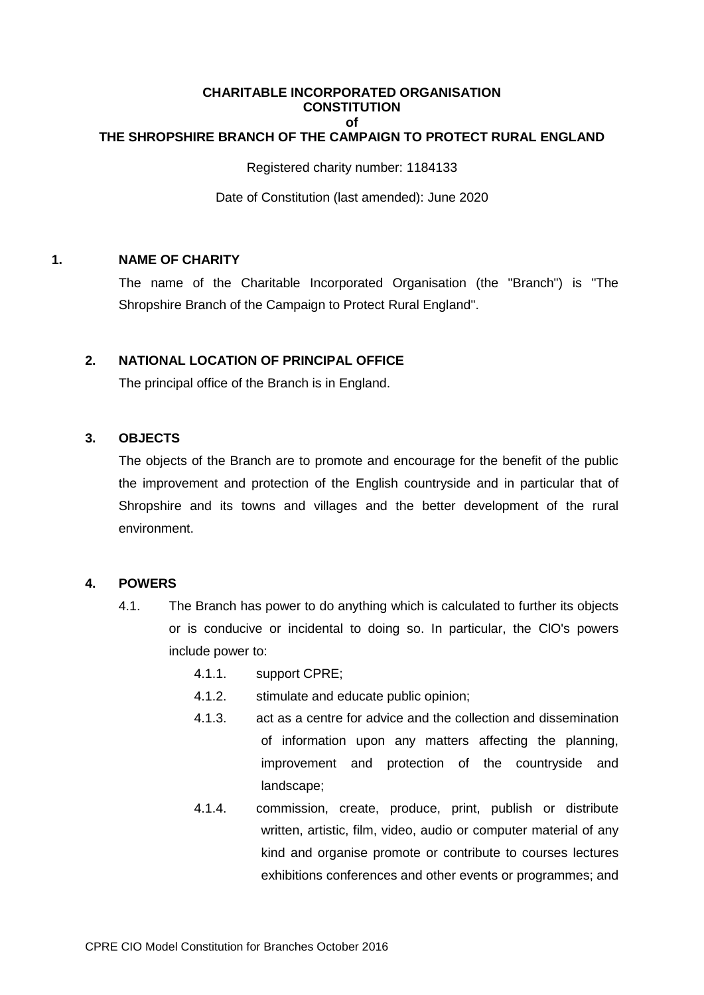#### **CHARITABLE INCORPORATED ORGANISATION CONSTITUTION of THE SHROPSHIRE BRANCH OF THE CAMPAIGN TO PROTECT RURAL ENGLAND**

Registered charity number: 1184133

Date of Constitution (last amended): June 2020

# **1. NAME OF CHARITY**

The name of the Charitable Incorporated Organisation (the "Branch") is "The Shropshire Branch of the Campaign to Protect Rural England".

# **2. NATIONAL LOCATION OF PRINCIPAL OFFICE**

The principal office of the Branch is in England.

# **3. OBJECTS**

The objects of the Branch are to promote and encourage for the benefit of the public the improvement and protection of the English countryside and in particular that of Shropshire and its towns and villages and the better development of the rural environment.

# **4. POWERS**

- 4.1. The Branch has power to do anything which is calculated to further its objects or is conducive or incidental to doing so. In particular, the ClO's powers include power to:
	- 4.1.1. support CPRE;
	- 4.1.2. stimulate and educate public opinion;
	- 4.1.3. act as a centre for advice and the collection and dissemination of information upon any matters affecting the planning, improvement and protection of the countryside and landscape;
	- 4.1.4. commission, create, produce, print, publish or distribute written, artistic, film, video, audio or computer material of any kind and organise promote or contribute to courses lectures exhibitions conferences and other events or programmes; and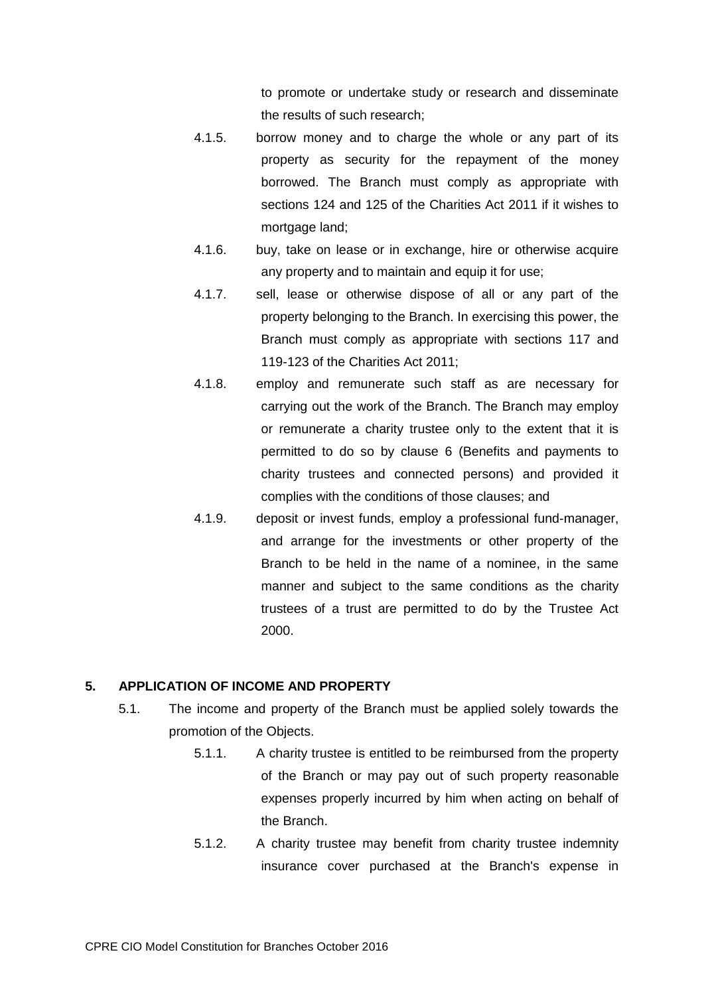to promote or undertake study or research and disseminate the results of such research;

- 4.1.5. borrow money and to charge the whole or any part of its property as security for the repayment of the money borrowed. The Branch must comply as appropriate with sections 124 and 125 of the Charities Act 2011 if it wishes to mortgage land;
- 4.1.6. buy, take on lease or in exchange, hire or otherwise acquire any property and to maintain and equip it for use;
- 4.1.7. sell, lease or otherwise dispose of all or any part of the property belonging to the Branch. In exercising this power, the Branch must comply as appropriate with sections 117 and 119-123 of the Charities Act 2011;
- 4.1.8. employ and remunerate such staff as are necessary for carrying out the work of the Branch. The Branch may employ or remunerate a charity trustee only to the extent that it is permitted to do so by clause 6 (Benefits and payments to charity trustees and connected persons) and provided it complies with the conditions of those clauses; and
- 4.1.9. deposit or invest funds, employ a professional fund-manager, and arrange for the investments or other property of the Branch to be held in the name of a nominee, in the same manner and subject to the same conditions as the charity trustees of a trust are permitted to do by the Trustee Act 2000.

# **5. APPLICATION OF INCOME AND PROPERTY**

- 5.1. The income and property of the Branch must be applied solely towards the promotion of the Objects.
	- 5.1.1. A charity trustee is entitled to be reimbursed from the property of the Branch or may pay out of such property reasonable expenses properly incurred by him when acting on behalf of the Branch.
	- 5.1.2. A charity trustee may benefit from charity trustee indemnity insurance cover purchased at the Branch's expense in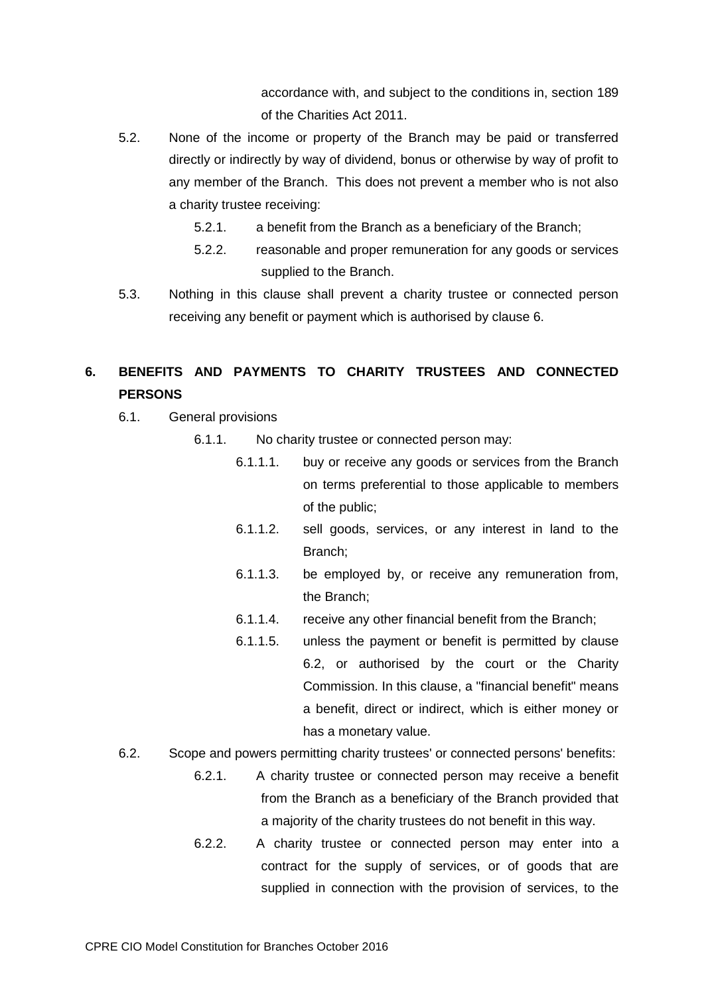accordance with, and subject to the conditions in, section 189 of the Charities Act 2011.

- 5.2. None of the income or property of the Branch may be paid or transferred directly or indirectly by way of dividend, bonus or otherwise by way of profit to any member of the Branch. This does not prevent a member who is not also a charity trustee receiving:
	- 5.2.1. a benefit from the Branch as a beneficiary of the Branch;
	- 5.2.2. reasonable and proper remuneration for any goods or services supplied to the Branch.
- 5.3. Nothing in this clause shall prevent a charity trustee or connected person receiving any benefit or payment which is authorised by clause 6.

# **6. BENEFITS AND PAYMENTS TO CHARITY TRUSTEES AND CONNECTED PERSONS**

- 6.1. General provisions
	- 6.1.1. No charity trustee or connected person may:
		- 6.1.1.1. buy or receive any goods or services from the Branch on terms preferential to those applicable to members of the public;
		- 6.1.1.2. sell goods, services, or any interest in land to the Branch;
		- 6.1.1.3. be employed by, or receive any remuneration from, the Branch;
		- 6.1.1.4. receive any other financial benefit from the Branch;
		- 6.1.1.5. unless the payment or benefit is permitted by clause 6.2, or authorised by the court or the Charity Commission. In this clause, a "financial benefit" means a benefit, direct or indirect, which is either money or has a monetary value.
- 6.2. Scope and powers permitting charity trustees' or connected persons' benefits:
	- 6.2.1. A charity trustee or connected person may receive a benefit from the Branch as a beneficiary of the Branch provided that a majority of the charity trustees do not benefit in this way.
	- 6.2.2. A charity trustee or connected person may enter into a contract for the supply of services, or of goods that are supplied in connection with the provision of services, to the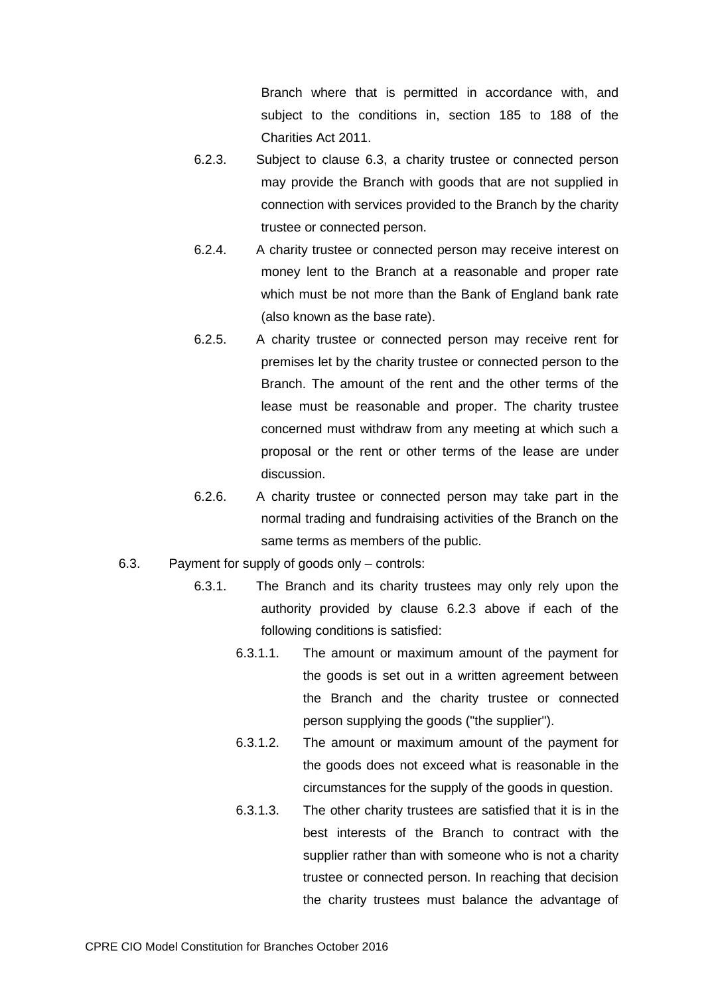Branch where that is permitted in accordance with, and subject to the conditions in, section 185 to 188 of the Charities Act 2011.

- 6.2.3. Subject to clause 6.3, a charity trustee or connected person may provide the Branch with goods that are not supplied in connection with services provided to the Branch by the charity trustee or connected person.
- 6.2.4. A charity trustee or connected person may receive interest on money lent to the Branch at a reasonable and proper rate which must be not more than the Bank of England bank rate (also known as the base rate).
- 6.2.5. A charity trustee or connected person may receive rent for premises let by the charity trustee or connected person to the Branch. The amount of the rent and the other terms of the lease must be reasonable and proper. The charity trustee concerned must withdraw from any meeting at which such a proposal or the rent or other terms of the lease are under discussion.
- 6.2.6. A charity trustee or connected person may take part in the normal trading and fundraising activities of the Branch on the same terms as members of the public.
- 6.3. Payment for supply of goods only controls:
	- 6.3.1. The Branch and its charity trustees may only rely upon the authority provided by clause 6.2.3 above if each of the following conditions is satisfied:
		- 6.3.1.1. The amount or maximum amount of the payment for the goods is set out in a written agreement between the Branch and the charity trustee or connected person supplying the goods ("the supplier").
		- 6.3.1.2. The amount or maximum amount of the payment for the goods does not exceed what is reasonable in the circumstances for the supply of the goods in question.
		- 6.3.1.3. The other charity trustees are satisfied that it is in the best interests of the Branch to contract with the supplier rather than with someone who is not a charity trustee or connected person. In reaching that decision the charity trustees must balance the advantage of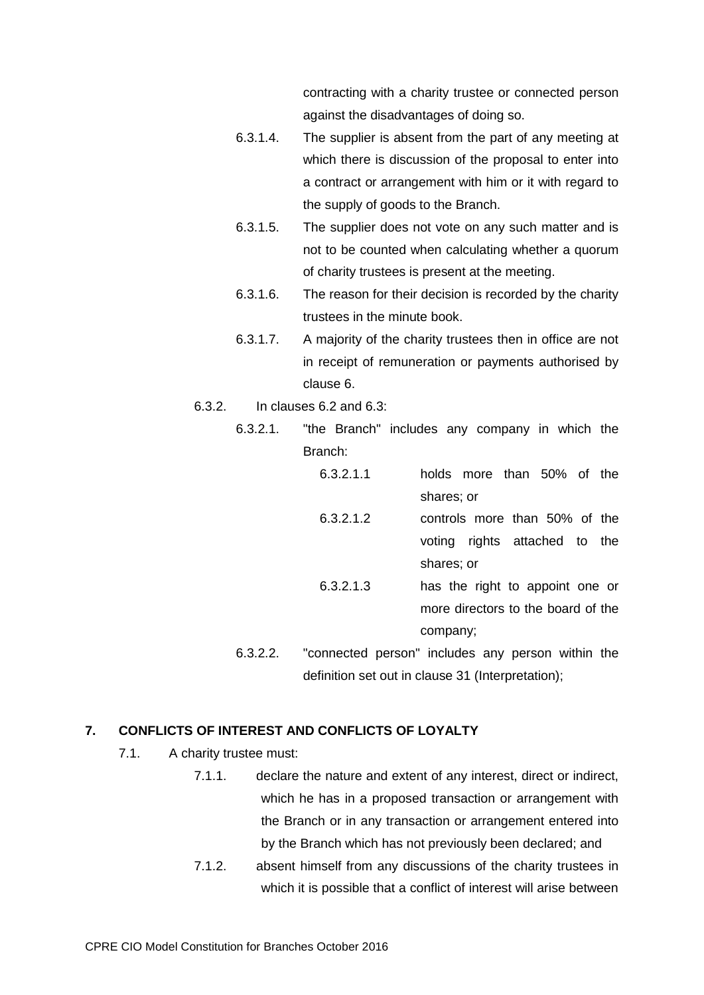contracting with a charity trustee or connected person against the disadvantages of doing so.

- 6.3.1.4. The supplier is absent from the part of any meeting at which there is discussion of the proposal to enter into a contract or arrangement with him or it with regard to the supply of goods to the Branch.
- 6.3.1.5. The supplier does not vote on any such matter and is not to be counted when calculating whether a quorum of charity trustees is present at the meeting.
- 6.3.1.6. The reason for their decision is recorded by the charity trustees in the minute book.
- 6.3.1.7. A majority of the charity trustees then in office are not in receipt of remuneration or payments authorised by clause 6.
- 6.3.2. In clauses 6.2 and 6.3:
	- 6.3.2.1. "the Branch" includes any company in which the Branch:
		- 6.3.2.1.1 holds more than 50% of the shares; or
		- 6.3.2.1.2 controls more than 50% of the voting rights attached to the shares; or
		- 6.3.2.1.3 has the right to appoint one or more directors to the board of the company;
	- 6.3.2.2. "connected person" includes any person within the definition set out in clause 31 (Interpretation);

# **7. CONFLICTS OF INTEREST AND CONFLICTS OF LOYALTY**

- 7.1. A charity trustee must:
	- 7.1.1. declare the nature and extent of any interest, direct or indirect, which he has in a proposed transaction or arrangement with the Branch or in any transaction or arrangement entered into by the Branch which has not previously been declared; and
	- 7.1.2. absent himself from any discussions of the charity trustees in which it is possible that a conflict of interest will arise between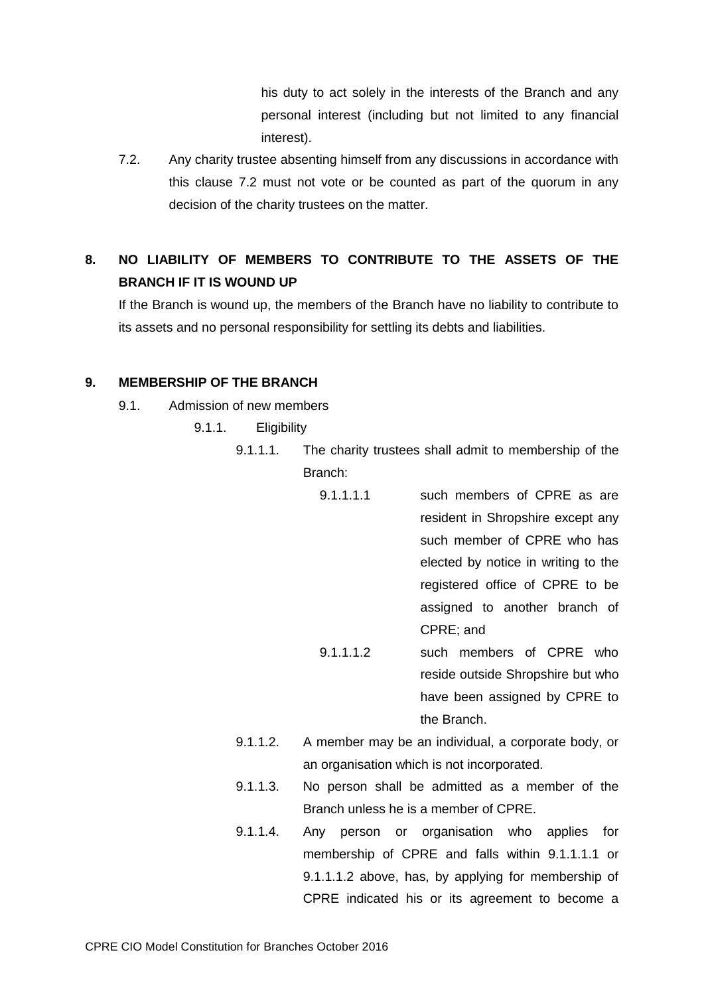his duty to act solely in the interests of the Branch and any personal interest (including but not limited to any financial interest).

7.2. Any charity trustee absenting himself from any discussions in accordance with this clause 7.2 must not vote or be counted as part of the quorum in any decision of the charity trustees on the matter.

# **8. NO LIABILITY OF MEMBERS TO CONTRIBUTE TO THE ASSETS OF THE BRANCH IF IT IS WOUND UP**

If the Branch is wound up, the members of the Branch have no liability to contribute to its assets and no personal responsibility for settling its debts and liabilities.

# **9. MEMBERSHIP OF THE BRANCH**

- <span id="page-5-0"></span>9.1. Admission of new members
	- 9.1.1. Eligibility
		- 9.1.1.1. The charity trustees shall admit to membership of the Branch:
			- 9.1.1.1.1 such members of CPRE as are resident in Shropshire except any such member of CPRE who has elected by notice in writing to the registered office of CPRE to be assigned to another branch of CPRE; and 9.1.1.1.2 such members of CPRE who reside outside Shropshire but who

have been assigned by CPRE to the Branch.

- <span id="page-5-1"></span>9.1.1.2. A member may be an individual, a corporate body, or an organisation which is not incorporated.
- 9.1.1.3. No person shall be admitted as a member of the Branch unless he is a member of CPRE.
- 9.1.1.4. Any person or organisation who applies for membership of CPRE and falls within [9.1.1.1.1](#page-5-0) or [9.1.1.1.2](#page-5-1) above, has, by applying for membership of CPRE indicated his or its agreement to become a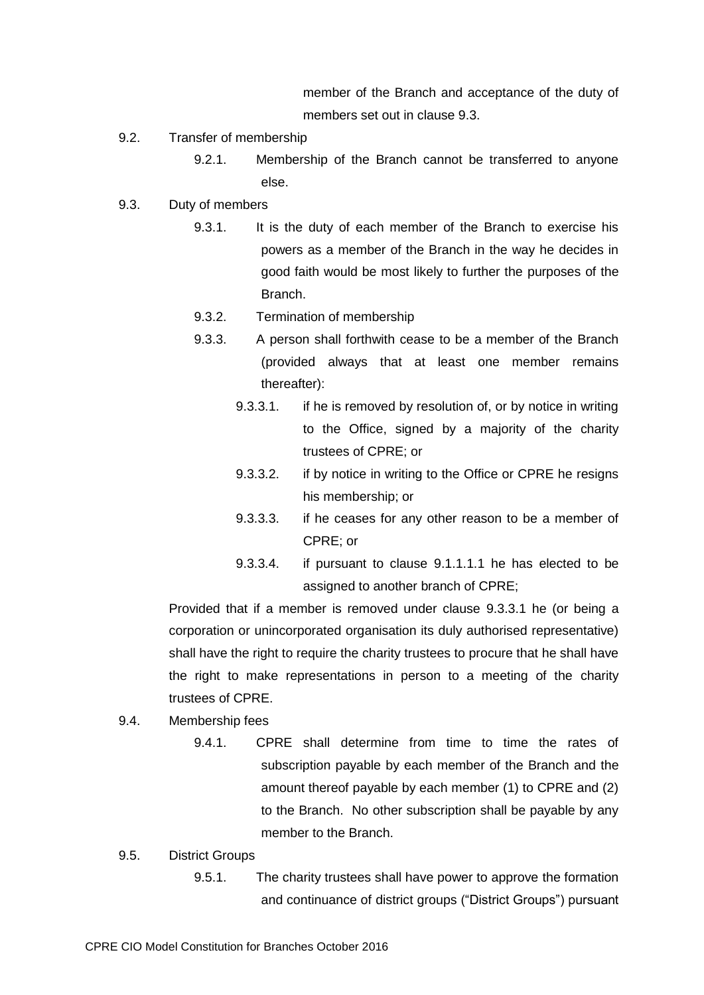member of the Branch and acceptance of the duty of members set out in clause 9.3.

- 9.2. Transfer of membership
	- 9.2.1. Membership of the Branch cannot be transferred to anyone else.
- 9.3. Duty of members
	- 9.3.1. It is the duty of each member of the Branch to exercise his powers as a member of the Branch in the way he decides in good faith would be most likely to further the purposes of the Branch.
	- 9.3.2. Termination of membership
	- 9.3.3. A person shall forthwith cease to be a member of the Branch (provided always that at least one member remains thereafter):
		- 9.3.3.1. if he is removed by resolution of, or by notice in writing to the Office, signed by a majority of the charity trustees of CPRE; or
		- 9.3.3.2. if by notice in writing to the Office or CPRE he resigns his membership; or
		- 9.3.3.3. if he ceases for any other reason to be a member of CPRE; or
		- 9.3.3.4. if pursuant to clause [9.1.1.1.1](#page-5-0) he has elected to be assigned to another branch of CPRE;

Provided that if a member is removed under clause 9.3.3.1 he (or being a corporation or unincorporated organisation its duly authorised representative) shall have the right to require the charity trustees to procure that he shall have the right to make representations in person to a meeting of the charity trustees of CPRE.

- 9.4. Membership fees
	- 9.4.1. CPRE shall determine from time to time the rates of subscription payable by each member of the Branch and the amount thereof payable by each member (1) to CPRE and (2) to the Branch. No other subscription shall be payable by any member to the Branch.
- 9.5. District Groups
	- 9.5.1. The charity trustees shall have power to approve the formation and continuance of district groups ("District Groups") pursuant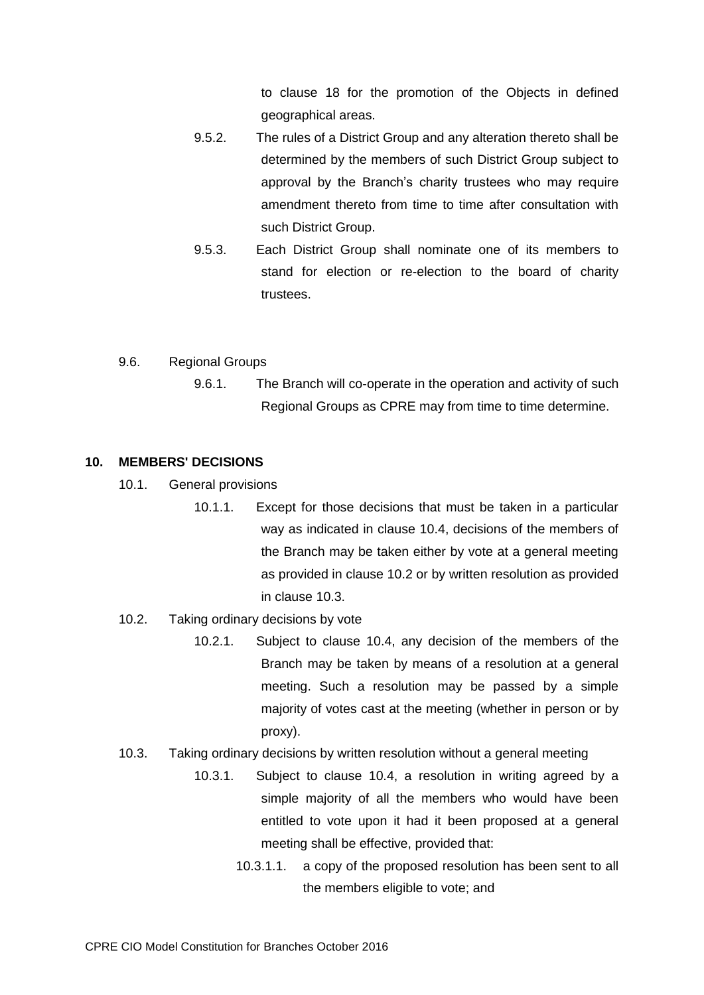to clause 18 for the promotion of the Objects in defined geographical areas.

- 9.5.2. The rules of a District Group and any alteration thereto shall be determined by the members of such District Group subject to approval by the Branch's charity trustees who may require amendment thereto from time to time after consultation with such District Group.
- 9.5.3. Each District Group shall nominate one of its members to stand for election or re-election to the board of charity trustees.
- 9.6. Regional Groups
	- 9.6.1. The Branch will co-operate in the operation and activity of such Regional Groups as CPRE may from time to time determine.

### **10. MEMBERS' DECISIONS**

- 10.1. General provisions
	- 10.1.1. Except for those decisions that must be taken in a particular way as indicated in clause 10.4, decisions of the members of the Branch may be taken either by vote at a general meeting as provided in clause 10.2 or by written resolution as provided in clause 10.3.
- 10.2. Taking ordinary decisions by vote
	- 10.2.1. Subject to clause 10.4, any decision of the members of the Branch may be taken by means of a resolution at a general meeting. Such a resolution may be passed by a simple majority of votes cast at the meeting (whether in person or by proxy).
- <span id="page-7-0"></span>10.3. Taking ordinary decisions by written resolution without a general meeting
	- 10.3.1. Subject to clause 10.4, a resolution in writing agreed by a simple majority of all the members who would have been entitled to vote upon it had it been proposed at a general meeting shall be effective, provided that:
		- 10.3.1.1. a copy of the proposed resolution has been sent to all the members eligible to vote; and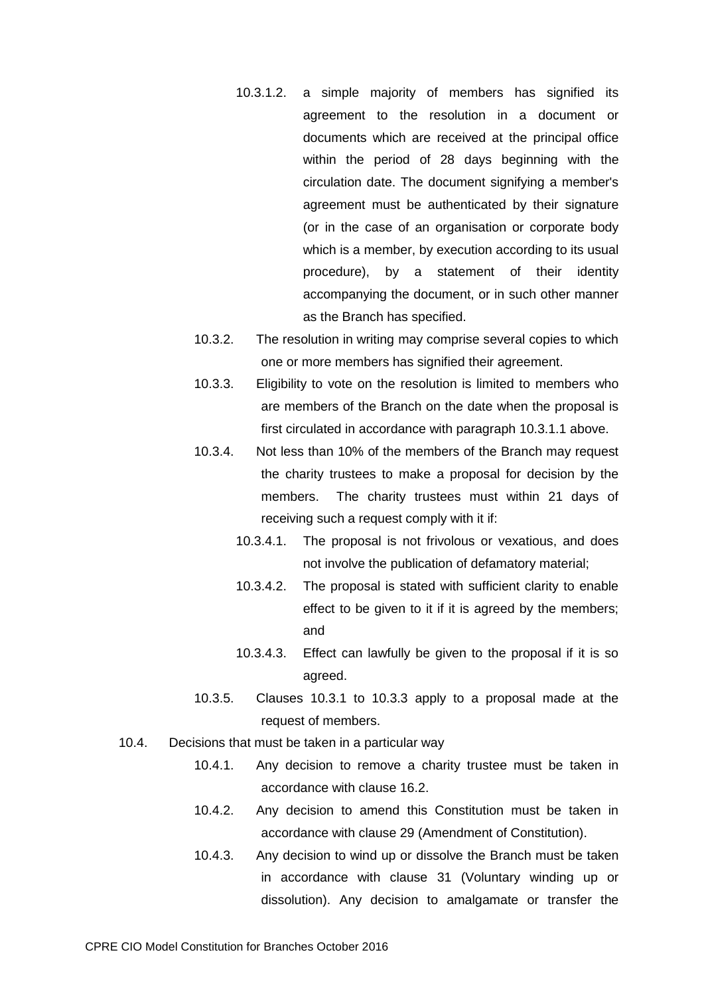- 10.3.1.2. a simple majority of members has signified its agreement to the resolution in a document or documents which are received at the principal office within the period of 28 days beginning with the circulation date. The document signifying a member's agreement must be authenticated by their signature (or in the case of an organisation or corporate body which is a member, by execution according to its usual procedure), by a statement of their identity accompanying the document, or in such other manner as the Branch has specified.
- 10.3.2. The resolution in writing may comprise several copies to which one or more members has signified their agreement.
- 10.3.3. Eligibility to vote on the resolution is limited to members who are members of the Branch on the date when the proposal is first circulated in accordance with paragraph [10.3.1.1](#page-7-0) above.
- 10.3.4. Not less than 10% of the members of the Branch may request the charity trustees to make a proposal for decision by the members. The charity trustees must within 21 days of receiving such a request comply with it if:
	- 10.3.4.1. The proposal is not frivolous or vexatious, and does not involve the publication of defamatory material;
	- 10.3.4.2. The proposal is stated with sufficient clarity to enable effect to be given to it if it is agreed by the members; and
	- 10.3.4.3. Effect can lawfully be given to the proposal if it is so agreed.
- 10.3.5. Clauses 10.3.1 to 10.3.3 apply to a proposal made at the request of members.
- 10.4. Decisions that must be taken in a particular way
	- 10.4.1. Any decision to remove a charity trustee must be taken in accordance with clause 16.2.
	- 10.4.2. Any decision to amend this Constitution must be taken in accordance with clause 29 (Amendment of Constitution).
	- 10.4.3. Any decision to wind up or dissolve the Branch must be taken in accordance with clause [31](#page-29-0) (Voluntary winding up or dissolution). Any decision to amalgamate or transfer the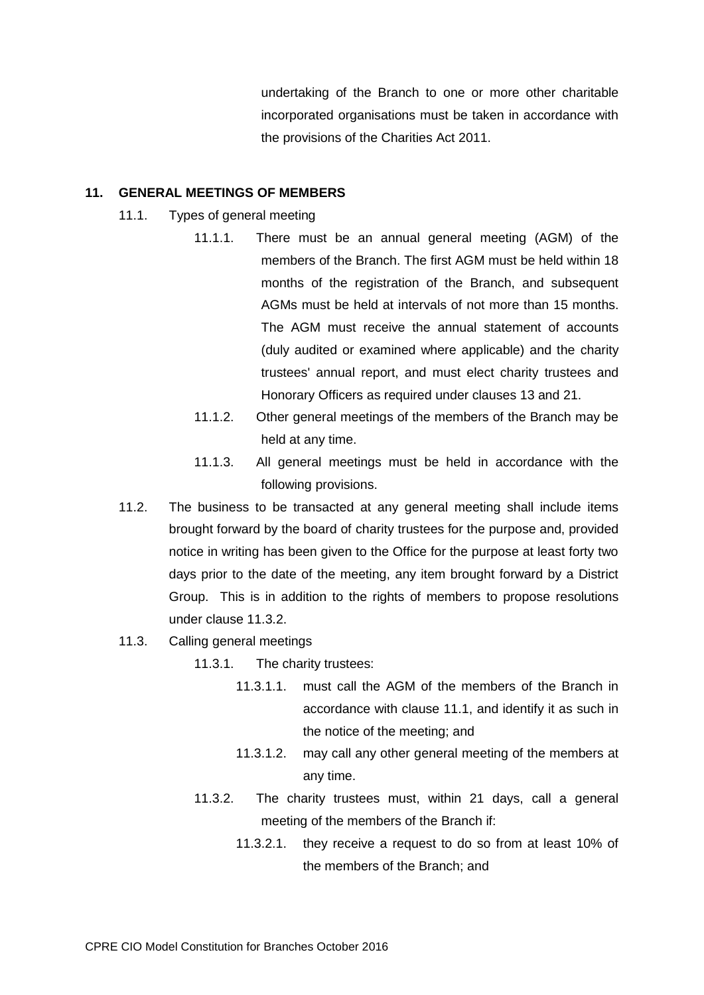undertaking of the Branch to one or more other charitable incorporated organisations must be taken in accordance with the provisions of the Charities Act 2011.

### **11. GENERAL MEETINGS OF MEMBERS**

- 11.1. Types of general meeting
	- 11.1.1. There must be an annual general meeting (AGM) of the members of the Branch. The first AGM must be held within 18 months of the registration of the Branch, and subsequent AGMs must be held at intervals of not more than 15 months. The AGM must receive the annual statement of accounts (duly audited or examined where applicable) and the charity trustees' annual report, and must elect charity trustees and Honorary Officers as required under clauses 13 and 21.
	- 11.1.2. Other general meetings of the members of the Branch may be held at any time.
	- 11.1.3. All general meetings must be held in accordance with the following provisions.
- 11.2. The business to be transacted at any general meeting shall include items brought forward by the board of charity trustees for the purpose and, provided notice in writing has been given to the Office for the purpose at least forty two days prior to the date of the meeting, any item brought forward by a District Group. This is in addition to the rights of members to propose resolutions under clause 11.3.2.
- <span id="page-9-0"></span>11.3. Calling general meetings
	- 11.3.1. The charity trustees:
		- 11.3.1.1. must call the AGM of the members of the Branch in accordance with clause 11.1, and identify it as such in the notice of the meeting; and
		- 11.3.1.2. may call any other general meeting of the members at any time.
	- 11.3.2. The charity trustees must, within 21 days, call a general meeting of the members of the Branch if:
		- 11.3.2.1. they receive a request to do so from at least 10% of the members of the Branch; and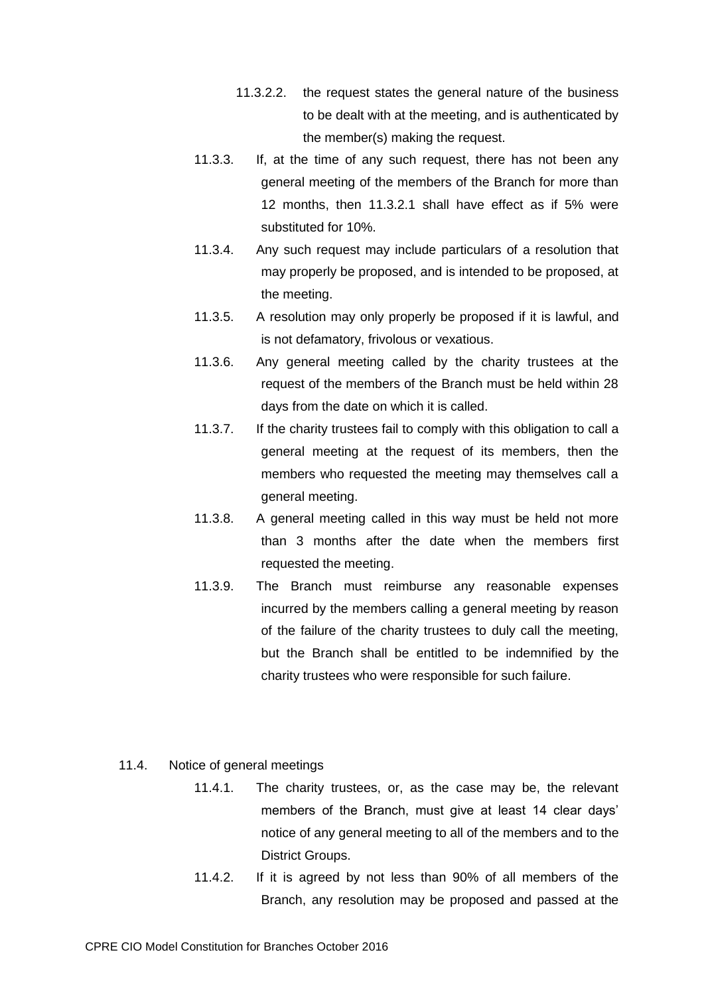- 11.3.2.2. the request states the general nature of the business to be dealt with at the meeting, and is authenticated by the member(s) making the request.
- 11.3.3. If, at the time of any such request, there has not been any general meeting of the members of the Branch for more than 12 months, then [11.3.2.1](#page-9-0) shall have effect as if 5% were substituted for 10%.
- 11.3.4. Any such request may include particulars of a resolution that may properly be proposed, and is intended to be proposed, at the meeting.
- 11.3.5. A resolution may only properly be proposed if it is lawful, and is not defamatory, frivolous or vexatious.
- 11.3.6. Any general meeting called by the charity trustees at the request of the members of the Branch must be held within 28 days from the date on which it is called.
- 11.3.7. If the charity trustees fail to comply with this obligation to call a general meeting at the request of its members, then the members who requested the meeting may themselves call a general meeting.
- 11.3.8. A general meeting called in this way must be held not more than 3 months after the date when the members first requested the meeting.
- 11.3.9. The Branch must reimburse any reasonable expenses incurred by the members calling a general meeting by reason of the failure of the charity trustees to duly call the meeting, but the Branch shall be entitled to be indemnified by the charity trustees who were responsible for such failure.
- 11.4. Notice of general meetings
	- 11.4.1. The charity trustees, or, as the case may be, the relevant members of the Branch, must give at least 14 clear days' notice of any general meeting to all of the members and to the District Groups.
	- 11.4.2. If it is agreed by not less than 90% of all members of the Branch, any resolution may be proposed and passed at the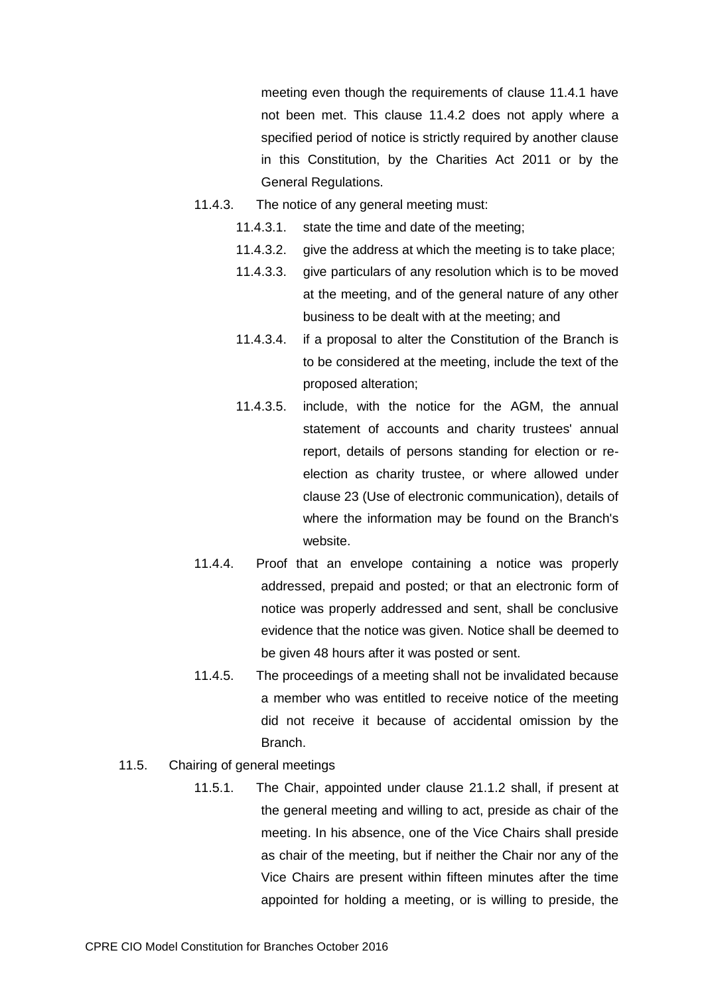meeting even though the requirements of clause 11.4.1 have not been met. This clause 11.4.2 does not apply where a specified period of notice is strictly required by another clause in this Constitution, by the Charities Act 2011 or by the General Regulations.

- 11.4.3. The notice of any general meeting must:
	- 11.4.3.1. state the time and date of the meeting;
	- 11.4.3.2. give the address at which the meeting is to take place;
	- 11.4.3.3. give particulars of any resolution which is to be moved at the meeting, and of the general nature of any other business to be dealt with at the meeting; and
	- 11.4.3.4. if a proposal to alter the Constitution of the Branch is to be considered at the meeting, include the text of the proposed alteration;
	- 11.4.3.5. include, with the notice for the AGM, the annual statement of accounts and charity trustees' annual report, details of persons standing for election or reelection as charity trustee, or where allowed under clause 23 (Use of electronic communication), details of where the information may be found on the Branch's website.
- 11.4.4. Proof that an envelope containing a notice was properly addressed, prepaid and posted; or that an electronic form of notice was properly addressed and sent, shall be conclusive evidence that the notice was given. Notice shall be deemed to be given 48 hours after it was posted or sent.
- 11.4.5. The proceedings of a meeting shall not be invalidated because a member who was entitled to receive notice of the meeting did not receive it because of accidental omission by the Branch.
- 11.5. Chairing of general meetings
	- 11.5.1. The Chair, appointed under clause 21.1.2 shall, if present at the general meeting and willing to act, preside as chair of the meeting. In his absence, one of the Vice Chairs shall preside as chair of the meeting, but if neither the Chair nor any of the Vice Chairs are present within fifteen minutes after the time appointed for holding a meeting, or is willing to preside, the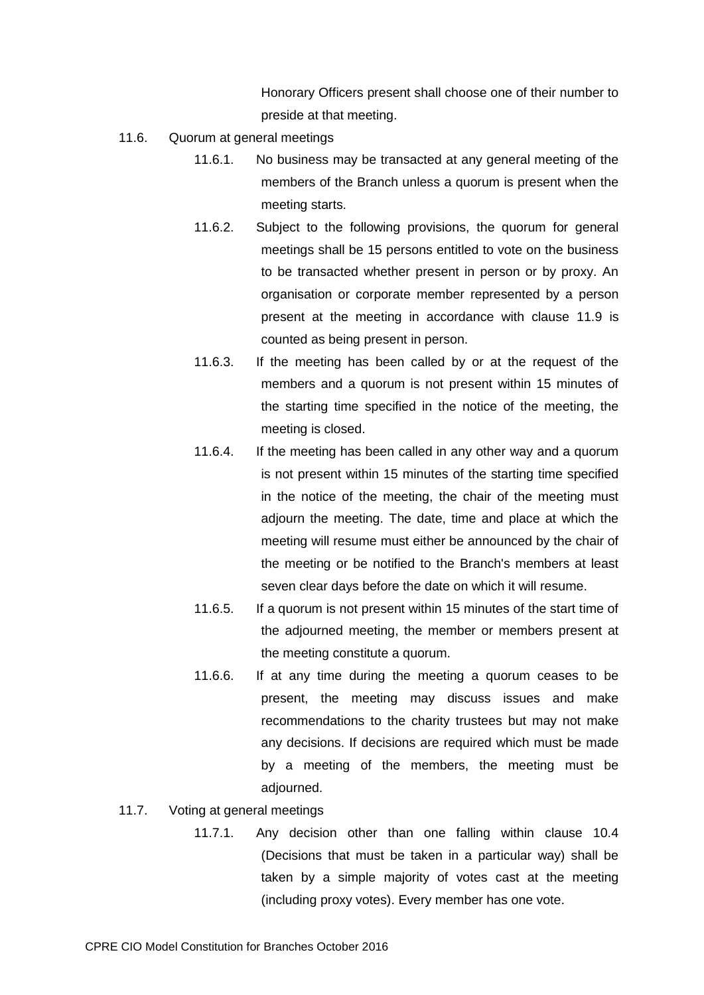Honorary Officers present shall choose one of their number to preside at that meeting.

- 11.6. Quorum at general meetings
	- 11.6.1. No business may be transacted at any general meeting of the members of the Branch unless a quorum is present when the meeting starts.
	- 11.6.2. Subject to the following provisions, the quorum for general meetings shall be 15 persons entitled to vote on the business to be transacted whether present in person or by proxy. An organisation or corporate member represented by a person present at the meeting in accordance with clause 11.9 is counted as being present in person.
	- 11.6.3. If the meeting has been called by or at the request of the members and a quorum is not present within 15 minutes of the starting time specified in the notice of the meeting, the meeting is closed.
	- 11.6.4. If the meeting has been called in any other way and a quorum is not present within 15 minutes of the starting time specified in the notice of the meeting, the chair of the meeting must adjourn the meeting. The date, time and place at which the meeting will resume must either be announced by the chair of the meeting or be notified to the Branch's members at least seven clear days before the date on which it will resume.
	- 11.6.5. If a quorum is not present within 15 minutes of the start time of the adjourned meeting, the member or members present at the meeting constitute a quorum.
	- 11.6.6. If at any time during the meeting a quorum ceases to be present, the meeting may discuss issues and make recommendations to the charity trustees but may not make any decisions. If decisions are required which must be made by a meeting of the members, the meeting must be adjourned.
- 11.7. Voting at general meetings
	- 11.7.1. Any decision other than one falling within clause 10.4 (Decisions that must be taken in a particular way) shall be taken by a simple majority of votes cast at the meeting (including proxy votes). Every member has one vote.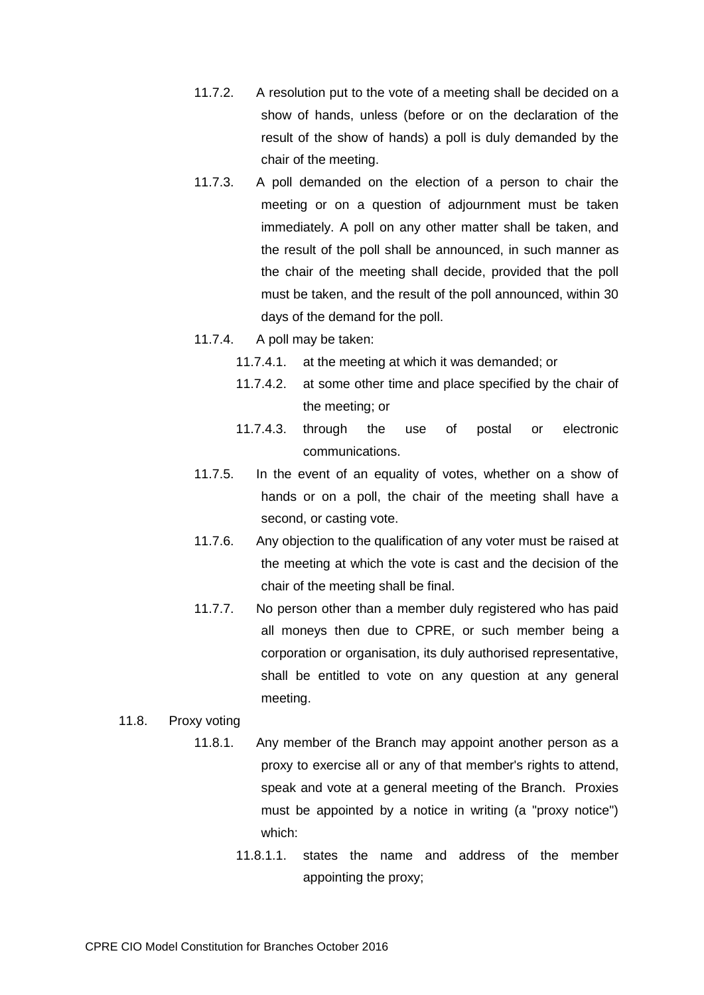- 11.7.2. A resolution put to the vote of a meeting shall be decided on a show of hands, unless (before or on the declaration of the result of the show of hands) a poll is duly demanded by the chair of the meeting.
- 11.7.3. A poll demanded on the election of a person to chair the meeting or on a question of adjournment must be taken immediately. A poll on any other matter shall be taken, and the result of the poll shall be announced, in such manner as the chair of the meeting shall decide, provided that the poll must be taken, and the result of the poll announced, within 30 days of the demand for the poll.
- 11.7.4. A poll may be taken:
	- 11.7.4.1. at the meeting at which it was demanded; or
	- 11.7.4.2. at some other time and place specified by the chair of the meeting; or
	- 11.7.4.3. through the use of postal or electronic communications.
- 11.7.5. In the event of an equality of votes, whether on a show of hands or on a poll, the chair of the meeting shall have a second, or casting vote.
- 11.7.6. Any objection to the qualification of any voter must be raised at the meeting at which the vote is cast and the decision of the chair of the meeting shall be final.
- 11.7.7. No person other than a member duly registered who has paid all moneys then due to CPRE, or such member being a corporation or organisation, its duly authorised representative, shall be entitled to vote on any question at any general meeting.

# 11.8. Proxy voting

- 11.8.1. Any member of the Branch may appoint another person as a proxy to exercise all or any of that member's rights to attend, speak and vote at a general meeting of the Branch. Proxies must be appointed by a notice in writing (a "proxy notice") which:
	- 11.8.1.1. states the name and address of the member appointing the proxy;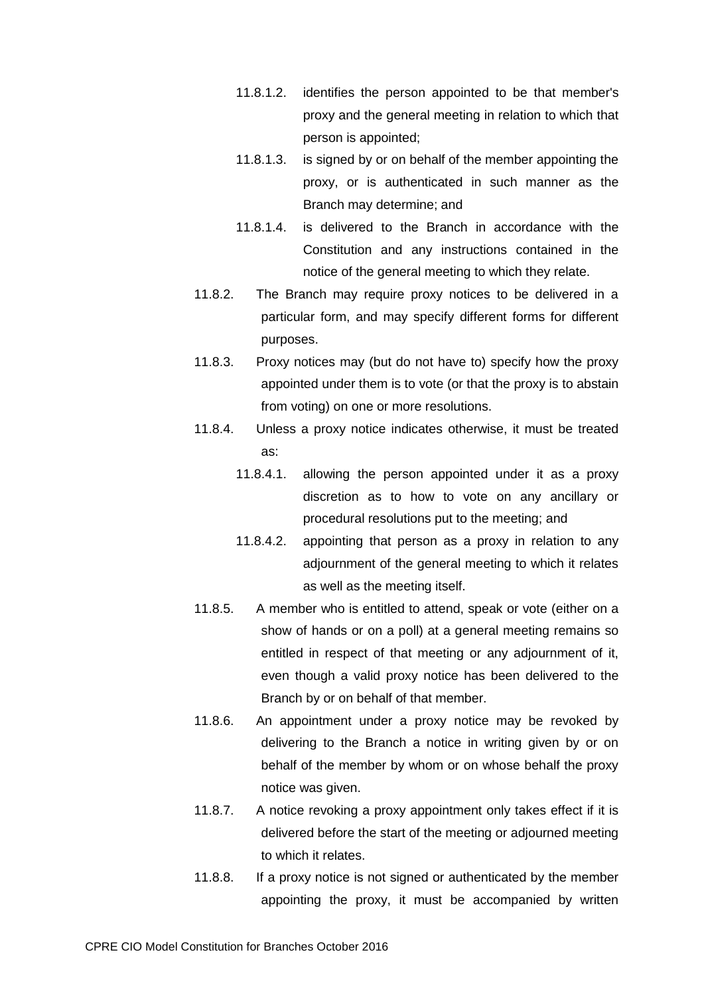- 11.8.1.2. identifies the person appointed to be that member's proxy and the general meeting in relation to which that person is appointed;
- 11.8.1.3. is signed by or on behalf of the member appointing the proxy, or is authenticated in such manner as the Branch may determine; and
- 11.8.1.4. is delivered to the Branch in accordance with the Constitution and any instructions contained in the notice of the general meeting to which they relate.
- 11.8.2. The Branch may require proxy notices to be delivered in a particular form, and may specify different forms for different purposes.
- 11.8.3. Proxy notices may (but do not have to) specify how the proxy appointed under them is to vote (or that the proxy is to abstain from voting) on one or more resolutions.
- 11.8.4. Unless a proxy notice indicates otherwise, it must be treated as:
	- 11.8.4.1. allowing the person appointed under it as a proxy discretion as to how to vote on any ancillary or procedural resolutions put to the meeting; and
	- 11.8.4.2. appointing that person as a proxy in relation to any adjournment of the general meeting to which it relates as well as the meeting itself.
- 11.8.5. A member who is entitled to attend, speak or vote (either on a show of hands or on a poll) at a general meeting remains so entitled in respect of that meeting or any adjournment of it, even though a valid proxy notice has been delivered to the Branch by or on behalf of that member.
- 11.8.6. An appointment under a proxy notice may be revoked by delivering to the Branch a notice in writing given by or on behalf of the member by whom or on whose behalf the proxy notice was given.
- 11.8.7. A notice revoking a proxy appointment only takes effect if it is delivered before the start of the meeting or adjourned meeting to which it relates.
- 11.8.8. If a proxy notice is not signed or authenticated by the member appointing the proxy, it must be accompanied by written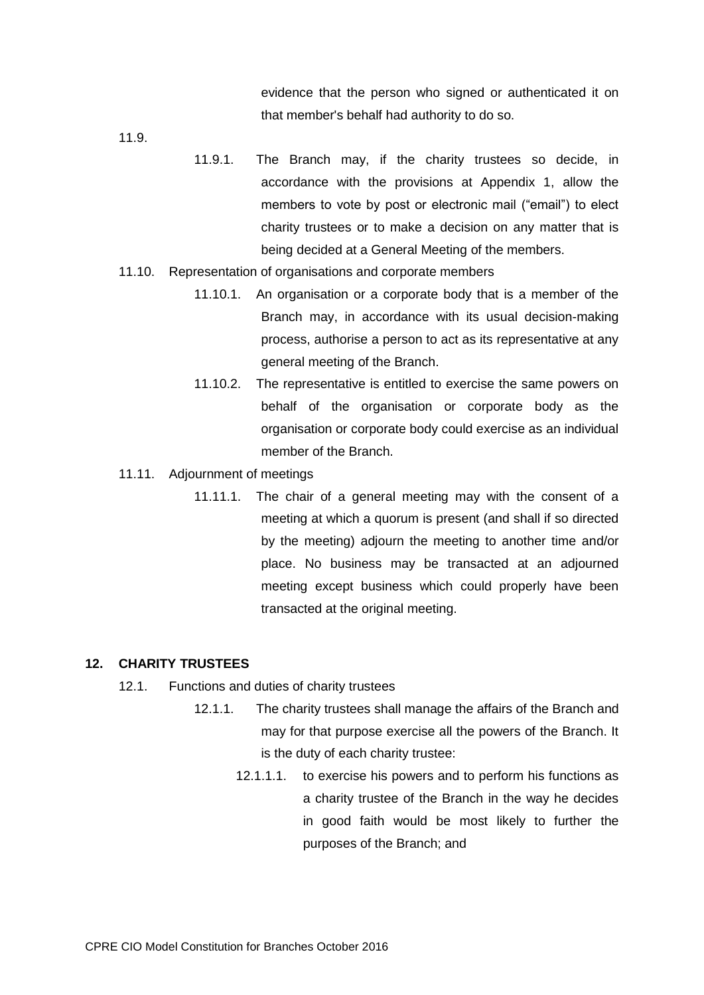evidence that the person who signed or authenticated it on that member's behalf had authority to do so.

11.9.

- 11.9.1. The Branch may, if the charity trustees so decide, in accordance with the provisions at Appendix 1, allow the members to vote by post or electronic mail ("email") to elect charity trustees or to make a decision on any matter that is being decided at a General Meeting of the members.
- 11.10. Representation of organisations and corporate members
	- 11.10.1. An organisation or a corporate body that is a member of the Branch may, in accordance with its usual decision-making process, authorise a person to act as its representative at any general meeting of the Branch.
	- 11.10.2. The representative is entitled to exercise the same powers on behalf of the organisation or corporate body as the organisation or corporate body could exercise as an individual member of the Branch.
- 11.11. Adjournment of meetings
	- 11.11.1. The chair of a general meeting may with the consent of a meeting at which a quorum is present (and shall if so directed by the meeting) adjourn the meeting to another time and/or place. No business may be transacted at an adjourned meeting except business which could properly have been transacted at the original meeting.

#### **12. CHARITY TRUSTEES**

- 12.1. Functions and duties of charity trustees
	- 12.1.1. The charity trustees shall manage the affairs of the Branch and may for that purpose exercise all the powers of the Branch. It is the duty of each charity trustee:
		- 12.1.1.1. to exercise his powers and to perform his functions as a charity trustee of the Branch in the way he decides in good faith would be most likely to further the purposes of the Branch; and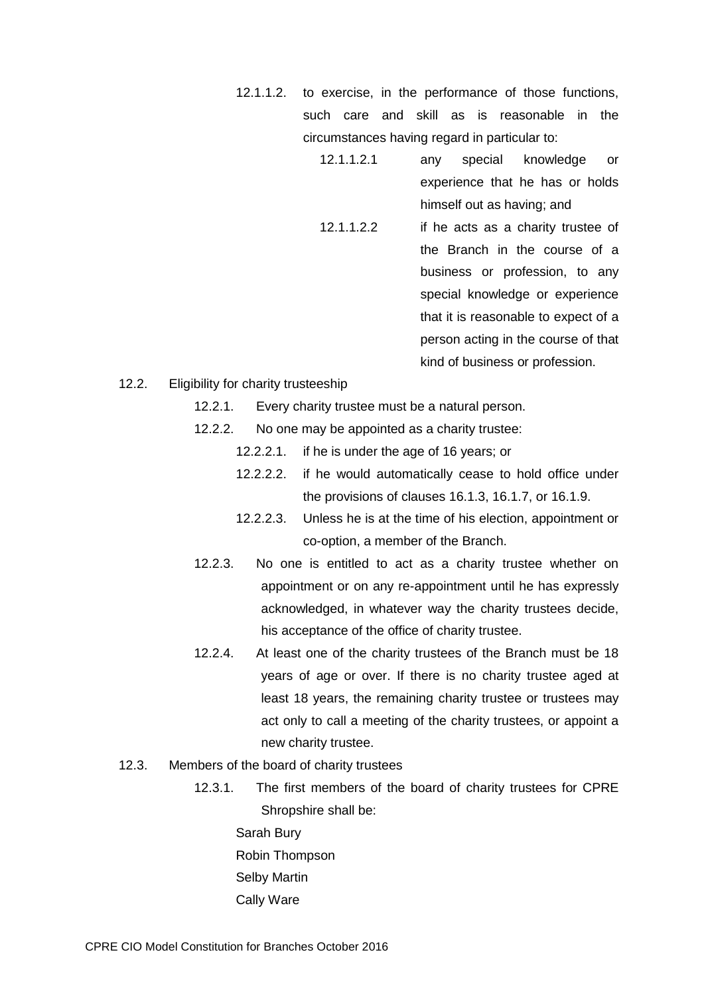- 12.1.1.2. to exercise, in the performance of those functions, such care and skill as is reasonable in the circumstances having regard in particular to:
	- 12.1.1.2.1 any special knowledge or experience that he has or holds himself out as having; and
	- 12.1.1.2.2 if he acts as a charity trustee of the Branch in the course of a business or profession, to any special knowledge or experience that it is reasonable to expect of a person acting in the course of that kind of business or profession.
- 12.2. Eligibility for charity trusteeship
	- 12.2.1. Every charity trustee must be a natural person.
	- 12.2.2. No one may be appointed as a charity trustee:
		- 12.2.2.1. if he is under the age of 16 years; or
		- 12.2.2.2. if he would automatically cease to hold office under the provisions of clauses 16.1.3, 16.1.7, or 16.1.9.
		- 12.2.2.3. Unless he is at the time of his election, appointment or co-option, a member of the Branch.
	- 12.2.3. No one is entitled to act as a charity trustee whether on appointment or on any re-appointment until he has expressly acknowledged, in whatever way the charity trustees decide, his acceptance of the office of charity trustee.
	- 12.2.4. At least one of the charity trustees of the Branch must be 18 years of age or over. If there is no charity trustee aged at least 18 years, the remaining charity trustee or trustees may act only to call a meeting of the charity trustees, or appoint a new charity trustee.
- 12.3. Members of the board of charity trustees
	- 12.3.1. The first members of the board of charity trustees for CPRE Shropshire shall be:

Sarah Bury Robin Thompson Selby Martin Cally Ware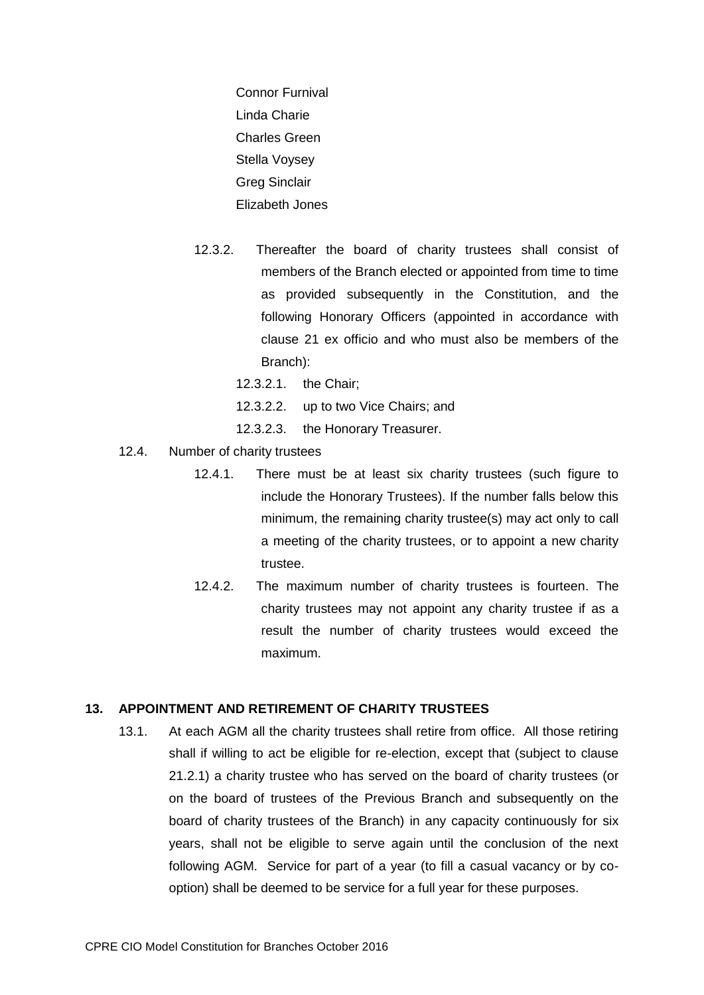Connor Furnival Linda Charie Charles Green Stella Voysey Greg Sinclair Elizabeth Jones

- 12.3.2. Thereafter the board of charity trustees shall consist of members of the Branch elected or appointed from time to time as provided subsequently in the Constitution, and the following Honorary Officers (appointed in accordance with clause 21 ex officio and who must also be members of the Branch):
	- 12.3.2.1. the Chair;
	- 12.3.2.2. up to two Vice Chairs; and
	- 12.3.2.3. the Honorary Treasurer.
- 12.4. Number of charity trustees
	- 12.4.1. There must be at least six charity trustees (such figure to include the Honorary Trustees). If the number falls below this minimum, the remaining charity trustee(s) may act only to call a meeting of the charity trustees, or to appoint a new charity trustee.
	- 12.4.2. The maximum number of charity trustees is fourteen. The charity trustees may not appoint any charity trustee if as a result the number of charity trustees would exceed the maximum.

# **13. APPOINTMENT AND RETIREMENT OF CHARITY TRUSTEES**

13.1. At each AGM all the charity trustees shall retire from office. All those retiring shall if willing to act be eligible for re-election, except that (subject to clause 21.2.1) a charity trustee who has served on the board of charity trustees (or on the board of trustees of the Previous Branch and subsequently on the board of charity trustees of the Branch) in any capacity continuously for six years, shall not be eligible to serve again until the conclusion of the next following AGM. Service for part of a year (to fill a casual vacancy or by cooption) shall be deemed to be service for a full year for these purposes.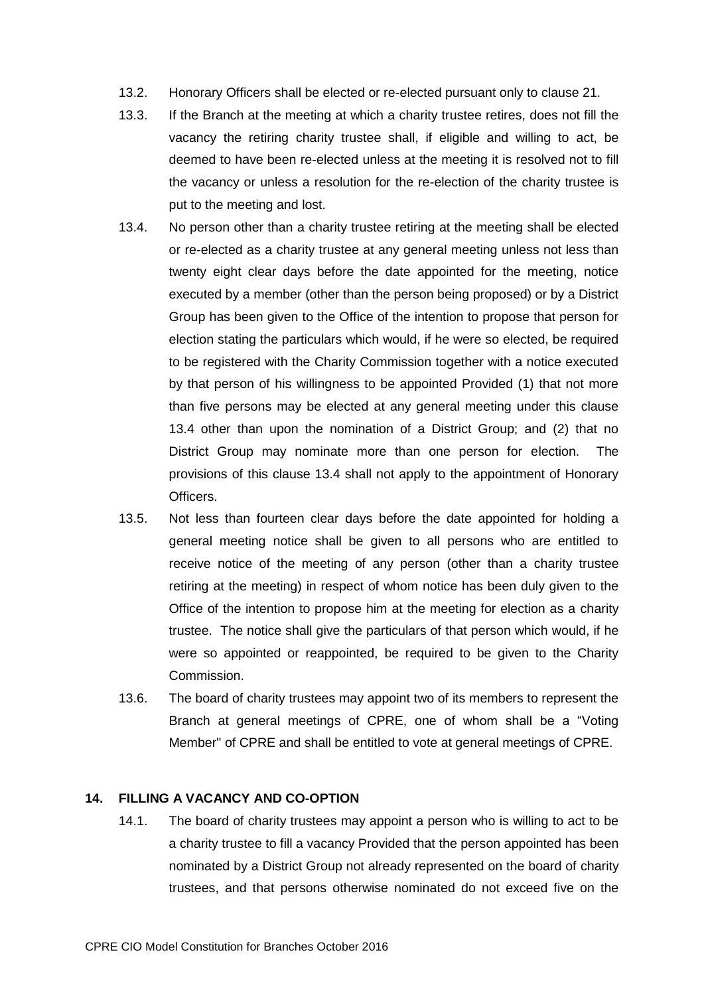- 13.2. Honorary Officers shall be elected or re-elected pursuant only to clause 21.
- 13.3. If the Branch at the meeting at which a charity trustee retires, does not fill the vacancy the retiring charity trustee shall, if eligible and willing to act, be deemed to have been re-elected unless at the meeting it is resolved not to fill the vacancy or unless a resolution for the re-election of the charity trustee is put to the meeting and lost.
- 13.4. No person other than a charity trustee retiring at the meeting shall be elected or re-elected as a charity trustee at any general meeting unless not less than twenty eight clear days before the date appointed for the meeting, notice executed by a member (other than the person being proposed) or by a District Group has been given to the Office of the intention to propose that person for election stating the particulars which would, if he were so elected, be required to be registered with the Charity Commission together with a notice executed by that person of his willingness to be appointed Provided (1) that not more than five persons may be elected at any general meeting under this clause 13.4 other than upon the nomination of a District Group; and (2) that no District Group may nominate more than one person for election. The provisions of this clause 13.4 shall not apply to the appointment of Honorary Officers.
- 13.5. Not less than fourteen clear days before the date appointed for holding a general meeting notice shall be given to all persons who are entitled to receive notice of the meeting of any person (other than a charity trustee retiring at the meeting) in respect of whom notice has been duly given to the Office of the intention to propose him at the meeting for election as a charity trustee. The notice shall give the particulars of that person which would, if he were so appointed or reappointed, be required to be given to the Charity Commission.
- 13.6. The board of charity trustees may appoint two of its members to represent the Branch at general meetings of CPRE, one of whom shall be a "Voting Member" of CPRE and shall be entitled to vote at general meetings of CPRE.

# **14. FILLING A VACANCY AND CO-OPTION**

14.1. The board of charity trustees may appoint a person who is willing to act to be a charity trustee to fill a vacancy Provided that the person appointed has been nominated by a District Group not already represented on the board of charity trustees, and that persons otherwise nominated do not exceed five on the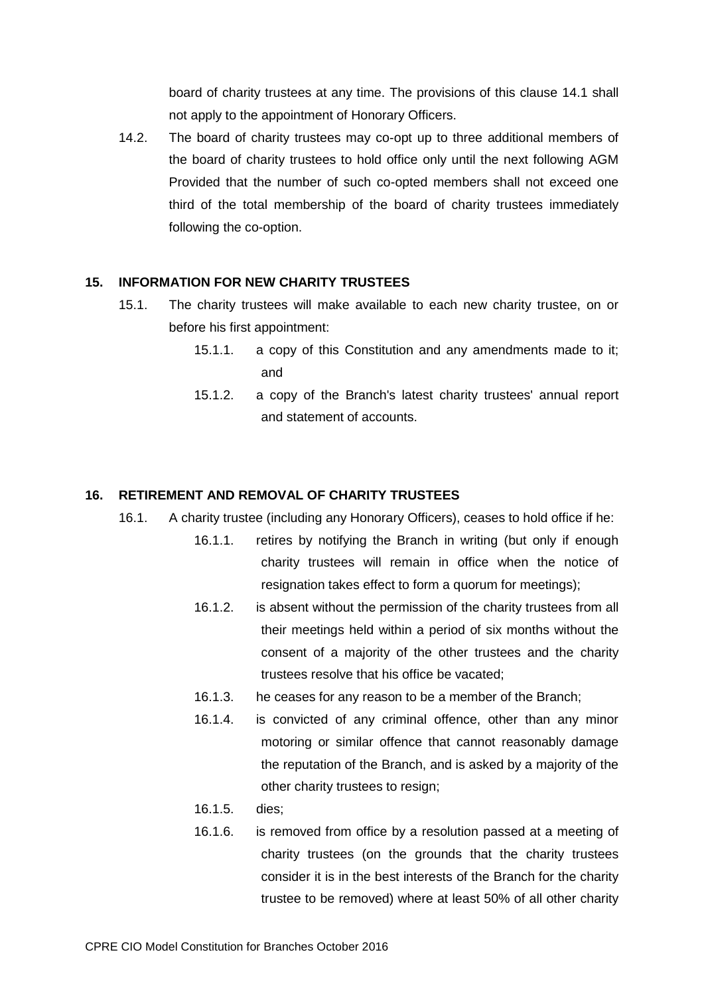board of charity trustees at any time. The provisions of this clause 14.1 shall not apply to the appointment of Honorary Officers.

14.2. The board of charity trustees may co-opt up to three additional members of the board of charity trustees to hold office only until the next following AGM Provided that the number of such co-opted members shall not exceed one third of the total membership of the board of charity trustees immediately following the co-option.

# **15. INFORMATION FOR NEW CHARITY TRUSTEES**

- 15.1. The charity trustees will make available to each new charity trustee, on or before his first appointment:
	- 15.1.1. a copy of this Constitution and any amendments made to it; and
	- 15.1.2. a copy of the Branch's latest charity trustees' annual report and statement of accounts.

# **16. RETIREMENT AND REMOVAL OF CHARITY TRUSTEES**

- 16.1. A charity trustee (including any Honorary Officers), ceases to hold office if he:
	- 16.1.1. retires by notifying the Branch in writing (but only if enough charity trustees will remain in office when the notice of resignation takes effect to form a quorum for meetings);
	- 16.1.2. is absent without the permission of the charity trustees from all their meetings held within a period of six months without the consent of a majority of the other trustees and the charity trustees resolve that his office be vacated;
	- 16.1.3. he ceases for any reason to be a member of the Branch;
	- 16.1.4. is convicted of any criminal offence, other than any minor motoring or similar offence that cannot reasonably damage the reputation of the Branch, and is asked by a majority of the other charity trustees to resign;
	- 16.1.5. dies;
	- 16.1.6. is removed from office by a resolution passed at a meeting of charity trustees (on the grounds that the charity trustees consider it is in the best interests of the Branch for the charity trustee to be removed) where at least 50% of all other charity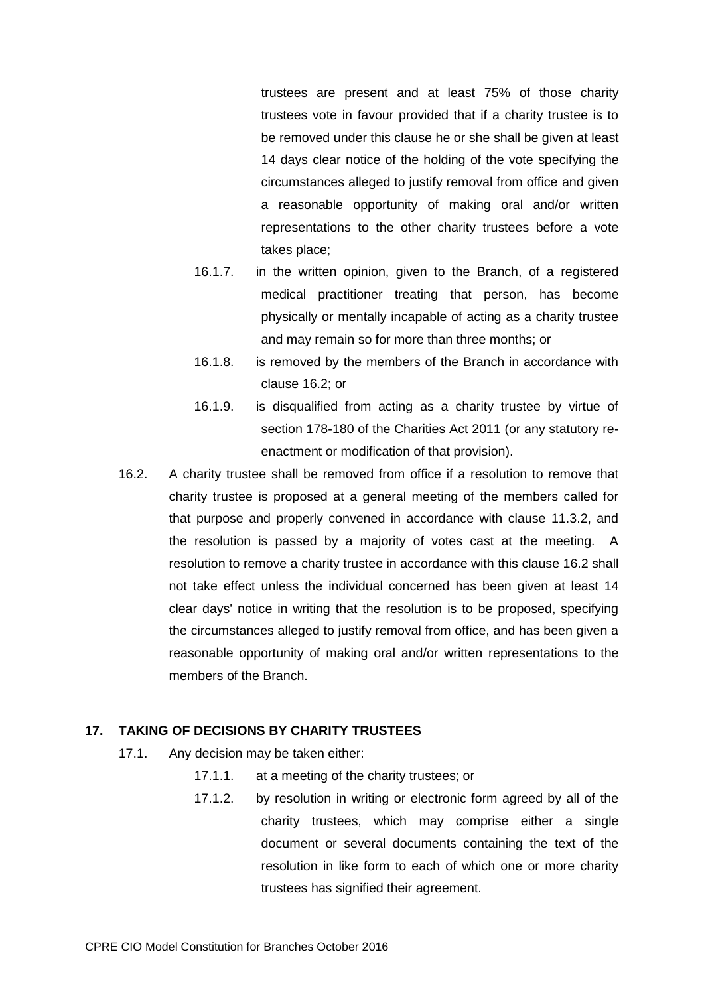trustees are present and at least 75% of those charity trustees vote in favour provided that if a charity trustee is to be removed under this clause he or she shall be given at least 14 days clear notice of the holding of the vote specifying the circumstances alleged to justify removal from office and given a reasonable opportunity of making oral and/or written representations to the other charity trustees before a vote takes place;

- 16.1.7. in the written opinion, given to the Branch, of a registered medical practitioner treating that person, has become physically or mentally incapable of acting as a charity trustee and may remain so for more than three months; or
- 16.1.8. is removed by the members of the Branch in accordance with clause 16.2; or
- 16.1.9. is disqualified from acting as a charity trustee by virtue of section 178-180 of the Charities Act 2011 (or any statutory reenactment or modification of that provision).
- 16.2. A charity trustee shall be removed from office if a resolution to remove that charity trustee is proposed at a general meeting of the members called for that purpose and properly convened in accordance with clause 11.3.2, and the resolution is passed by a majority of votes cast at the meeting. A resolution to remove a charity trustee in accordance with this clause 16.2 shall not take effect unless the individual concerned has been given at least 14 clear days' notice in writing that the resolution is to be proposed, specifying the circumstances alleged to justify removal from office, and has been given a reasonable opportunity of making oral and/or written representations to the members of the Branch.

# **17. TAKING OF DECISIONS BY CHARITY TRUSTEES**

- 17.1. Any decision may be taken either:
	- 17.1.1. at a meeting of the charity trustees; or
	- 17.1.2. by resolution in writing or electronic form agreed by all of the charity trustees, which may comprise either a single document or several documents containing the text of the resolution in like form to each of which one or more charity trustees has signified their agreement.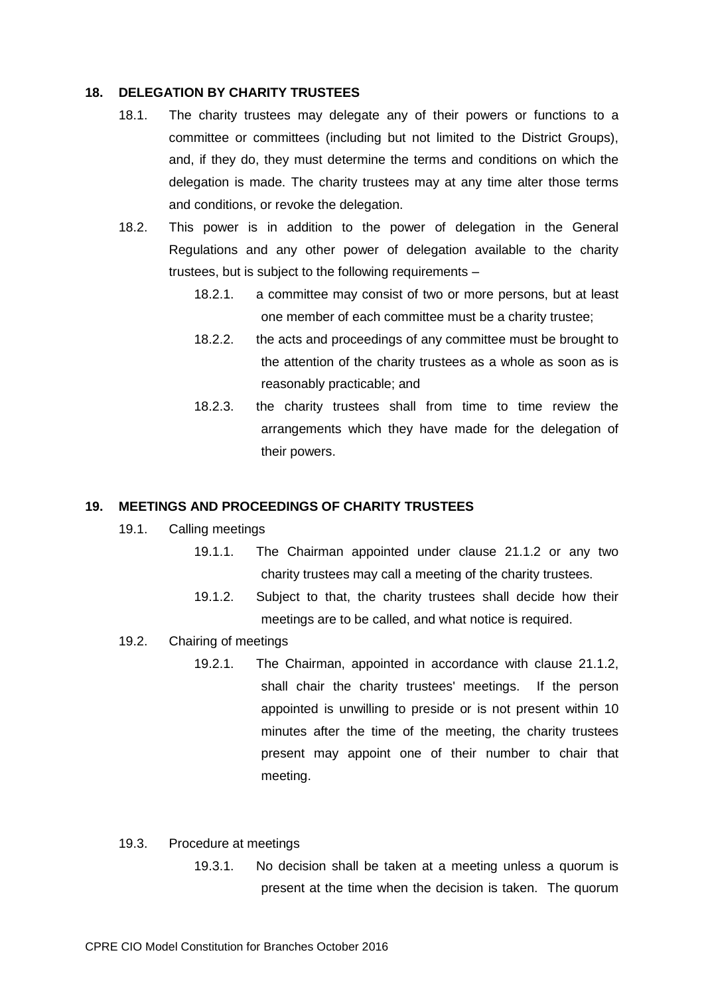#### **18. DELEGATION BY CHARITY TRUSTEES**

- 18.1. The charity trustees may delegate any of their powers or functions to a committee or committees (including but not limited to the District Groups), and, if they do, they must determine the terms and conditions on which the delegation is made. The charity trustees may at any time alter those terms and conditions, or revoke the delegation.
- 18.2. This power is in addition to the power of delegation in the General Regulations and any other power of delegation available to the charity trustees, but is subject to the following requirements –
	- 18.2.1. a committee may consist of two or more persons, but at least one member of each committee must be a charity trustee;
	- 18.2.2. the acts and proceedings of any committee must be brought to the attention of the charity trustees as a whole as soon as is reasonably practicable; and
	- 18.2.3. the charity trustees shall from time to time review the arrangements which they have made for the delegation of their powers.

#### **19. MEETINGS AND PROCEEDINGS OF CHARITY TRUSTEES**

- 19.1. Calling meetings
	- 19.1.1. The Chairman appointed under clause 21.1.2 or any two charity trustees may call a meeting of the charity trustees.
		- 19.1.2. Subject to that, the charity trustees shall decide how their meetings are to be called, and what notice is required.
- 19.2. Chairing of meetings
	- 19.2.1. The Chairman, appointed in accordance with clause 21.1.2, shall chair the charity trustees' meetings. If the person appointed is unwilling to preside or is not present within 10 minutes after the time of the meeting, the charity trustees present may appoint one of their number to chair that meeting.
- 19.3. Procedure at meetings
	- 19.3.1. No decision shall be taken at a meeting unless a quorum is present at the time when the decision is taken. The quorum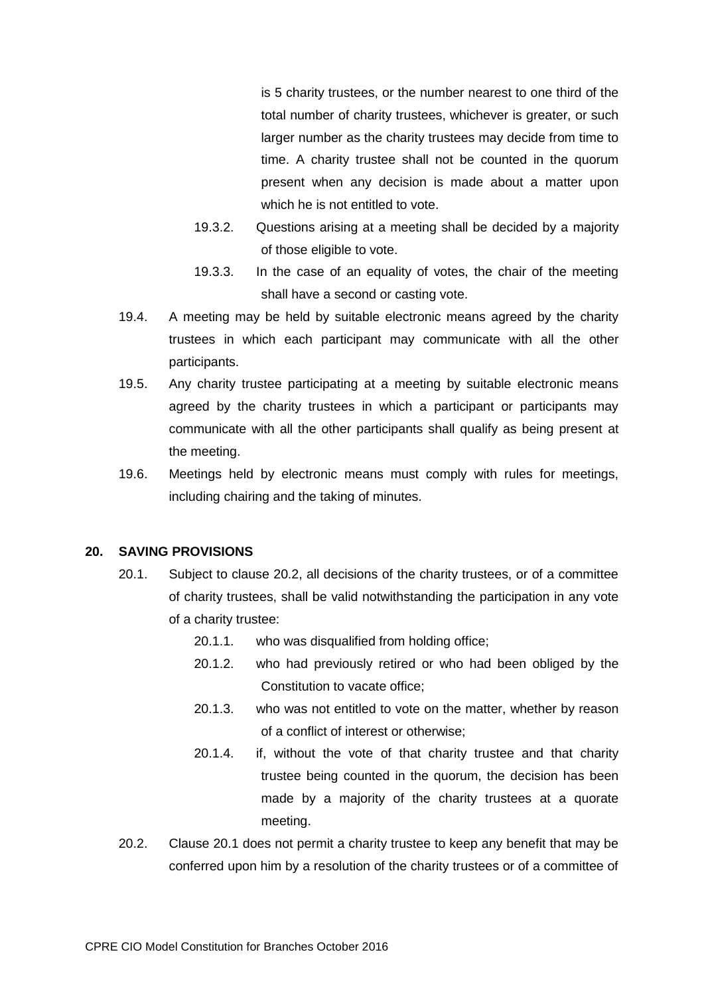is 5 charity trustees, or the number nearest to one third of the total number of charity trustees, whichever is greater, or such larger number as the charity trustees may decide from time to time. A charity trustee shall not be counted in the quorum present when any decision is made about a matter upon which he is not entitled to vote.

- 19.3.2. Questions arising at a meeting shall be decided by a majority of those eligible to vote.
- 19.3.3. In the case of an equality of votes, the chair of the meeting shall have a second or casting vote.
- 19.4. A meeting may be held by suitable electronic means agreed by the charity trustees in which each participant may communicate with all the other participants.
- 19.5. Any charity trustee participating at a meeting by suitable electronic means agreed by the charity trustees in which a participant or participants may communicate with all the other participants shall qualify as being present at the meeting.
- 19.6. Meetings held by electronic means must comply with rules for meetings, including chairing and the taking of minutes.

### **20. SAVING PROVISIONS**

- 20.1. Subject to clause 20.2, all decisions of the charity trustees, or of a committee of charity trustees, shall be valid notwithstanding the participation in any vote of a charity trustee:
	- 20.1.1. who was disqualified from holding office;
	- 20.1.2. who had previously retired or who had been obliged by the Constitution to vacate office;
	- 20.1.3. who was not entitled to vote on the matter, whether by reason of a conflict of interest or otherwise;
	- 20.1.4. if, without the vote of that charity trustee and that charity trustee being counted in the quorum, the decision has been made by a majority of the charity trustees at a quorate meeting.
- 20.2. Clause 20.1 does not permit a charity trustee to keep any benefit that may be conferred upon him by a resolution of the charity trustees or of a committee of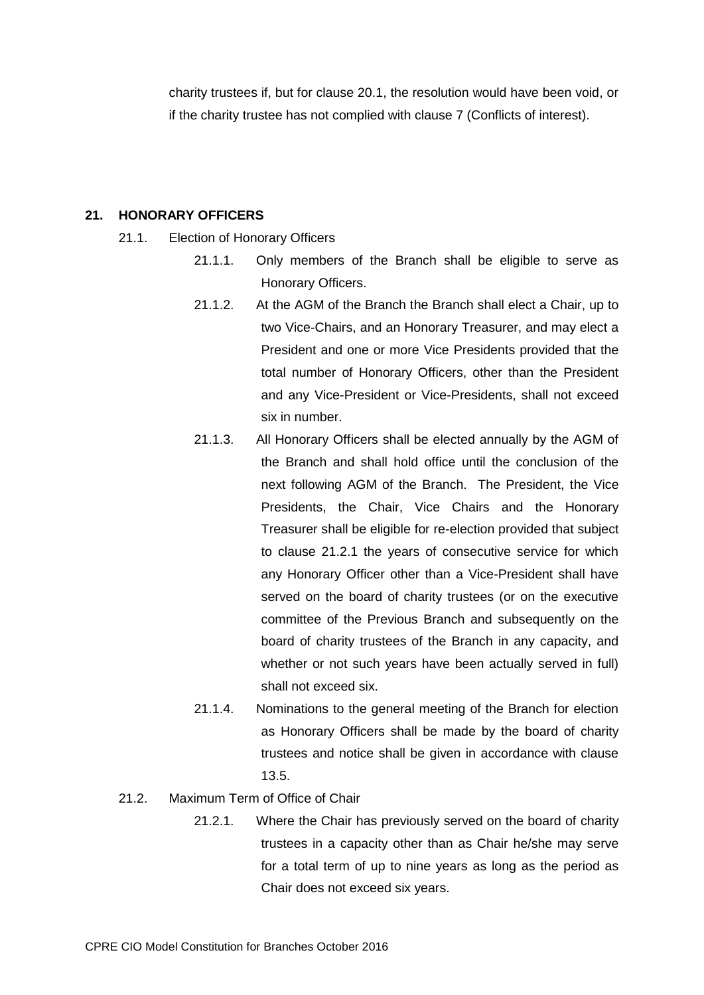charity trustees if, but for clause 20.1, the resolution would have been void, or if the charity trustee has not complied with clause 7 (Conflicts of interest).

# **21. HONORARY OFFICERS**

- 21.1. Election of Honorary Officers
	- 21.1.1. Only members of the Branch shall be eligible to serve as Honorary Officers.
	- 21.1.2. At the AGM of the Branch the Branch shall elect a Chair, up to two Vice-Chairs, and an Honorary Treasurer, and may elect a President and one or more Vice Presidents provided that the total number of Honorary Officers, other than the President and any Vice-President or Vice-Presidents, shall not exceed six in number.
	- 21.1.3. All Honorary Officers shall be elected annually by the AGM of the Branch and shall hold office until the conclusion of the next following AGM of the Branch. The President, the Vice Presidents, the Chair, Vice Chairs and the Honorary Treasurer shall be eligible for re-election provided that subject to clause 21.2.1 the years of consecutive service for which any Honorary Officer other than a Vice-President shall have served on the board of charity trustees (or on the executive committee of the Previous Branch and subsequently on the board of charity trustees of the Branch in any capacity, and whether or not such years have been actually served in full) shall not exceed six.
	- 21.1.4. Nominations to the general meeting of the Branch for election as Honorary Officers shall be made by the board of charity trustees and notice shall be given in accordance with clause 13.5.
- 21.2. Maximum Term of Office of Chair
	- 21.2.1. Where the Chair has previously served on the board of charity trustees in a capacity other than as Chair he/she may serve for a total term of up to nine years as long as the period as Chair does not exceed six years.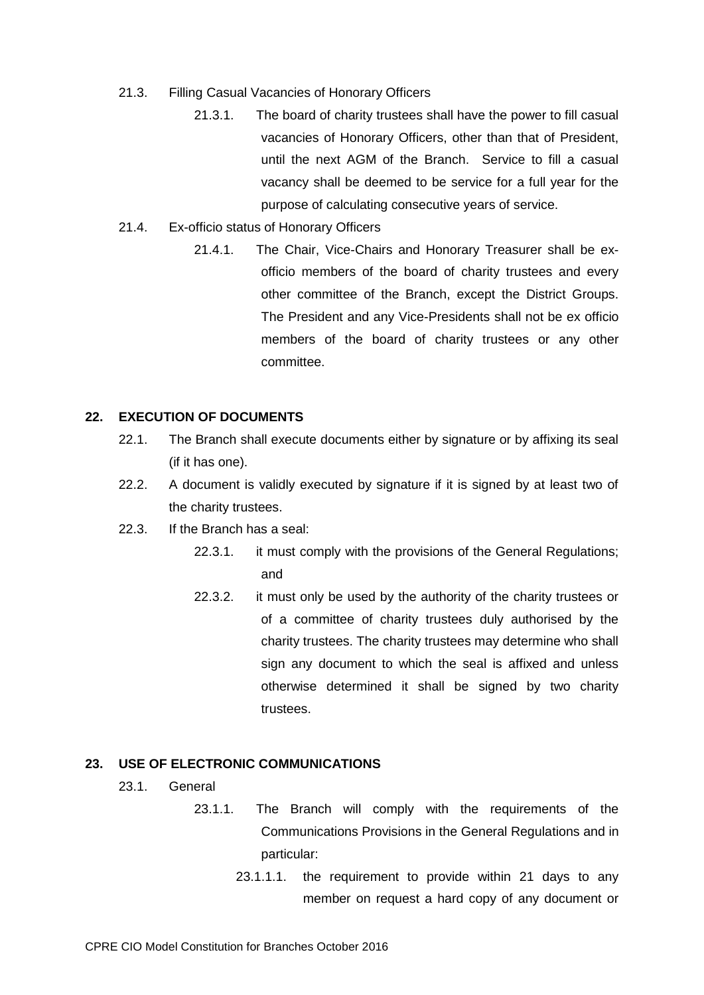- 21.3. Filling Casual Vacancies of Honorary Officers
	- 21.3.1. The board of charity trustees shall have the power to fill casual vacancies of Honorary Officers, other than that of President, until the next AGM of the Branch. Service to fill a casual vacancy shall be deemed to be service for a full year for the purpose of calculating consecutive years of service.
- 21.4. Ex-officio status of Honorary Officers
	- 21.4.1. The Chair, Vice-Chairs and Honorary Treasurer shall be exofficio members of the board of charity trustees and every other committee of the Branch, except the District Groups. The President and any Vice-Presidents shall not be ex officio members of the board of charity trustees or any other committee.

#### **22. EXECUTION OF DOCUMENTS**

- 22.1. The Branch shall execute documents either by signature or by affixing its seal (if it has one).
- 22.2. A document is validly executed by signature if it is signed by at least two of the charity trustees.
- 22.3. If the Branch has a seal:
	- 22.3.1. it must comply with the provisions of the General Regulations; and
	- 22.3.2. it must only be used by the authority of the charity trustees or of a committee of charity trustees duly authorised by the charity trustees. The charity trustees may determine who shall sign any document to which the seal is affixed and unless otherwise determined it shall be signed by two charity trustees.

# **23. USE OF ELECTRONIC COMMUNICATIONS**

- 23.1. General
	- 23.1.1. The Branch will comply with the requirements of the Communications Provisions in the General Regulations and in particular:
		- 23.1.1.1. the requirement to provide within 21 days to any member on request a hard copy of any document or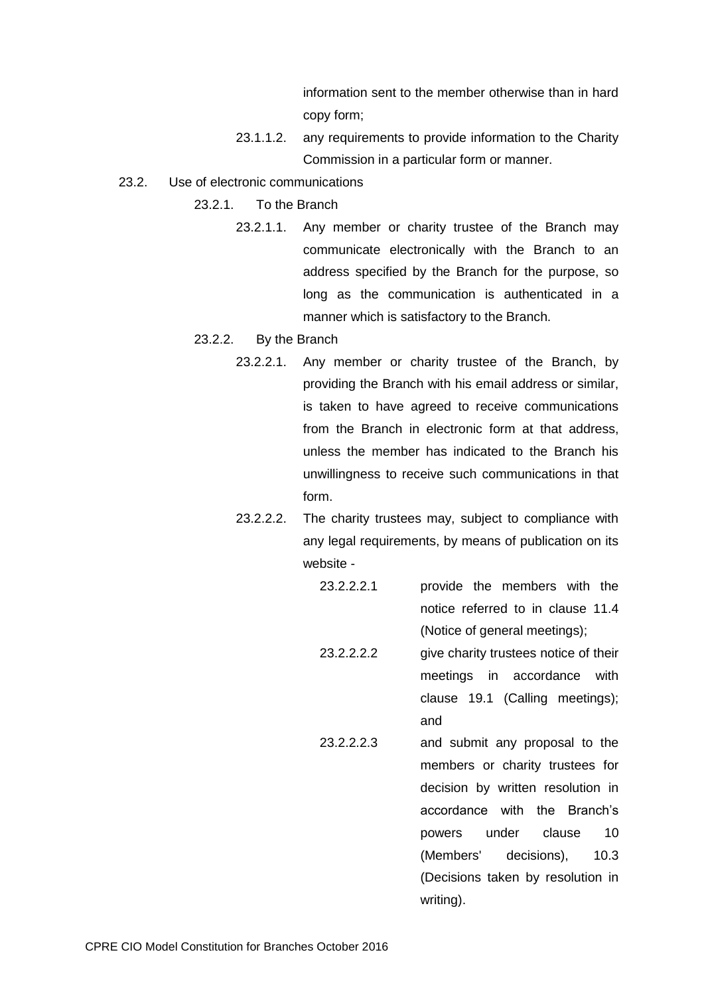information sent to the member otherwise than in hard copy form;

- 23.1.1.2. any requirements to provide information to the Charity Commission in a particular form or manner.
- 23.2. Use of electronic communications
	- 23.2.1. To the Branch
		- 23.2.1.1. Any member or charity trustee of the Branch may communicate electronically with the Branch to an address specified by the Branch for the purpose, so long as the communication is authenticated in a manner which is satisfactory to the Branch.
	- 23.2.2. By the Branch
		- 23.2.2.1. Any member or charity trustee of the Branch, by providing the Branch with his email address or similar, is taken to have agreed to receive communications from the Branch in electronic form at that address, unless the member has indicated to the Branch his unwillingness to receive such communications in that form.
		- 23.2.2.2. The charity trustees may, subject to compliance with any legal requirements, by means of publication on its website -
			- 23.2.2.2.1 provide the members with the notice referred to in clause 11.4 (Notice of general meetings);
			- 23.2.2.2.2 give charity trustees notice of their meetings in accordance with clause 19.1 (Calling meetings); and
			- 23.2.2.2.3 and submit any proposal to the members or charity trustees for decision by written resolution in accordance with the Branch's powers under clause 10 (Members' decisions), 10.3 (Decisions taken by resolution in writing).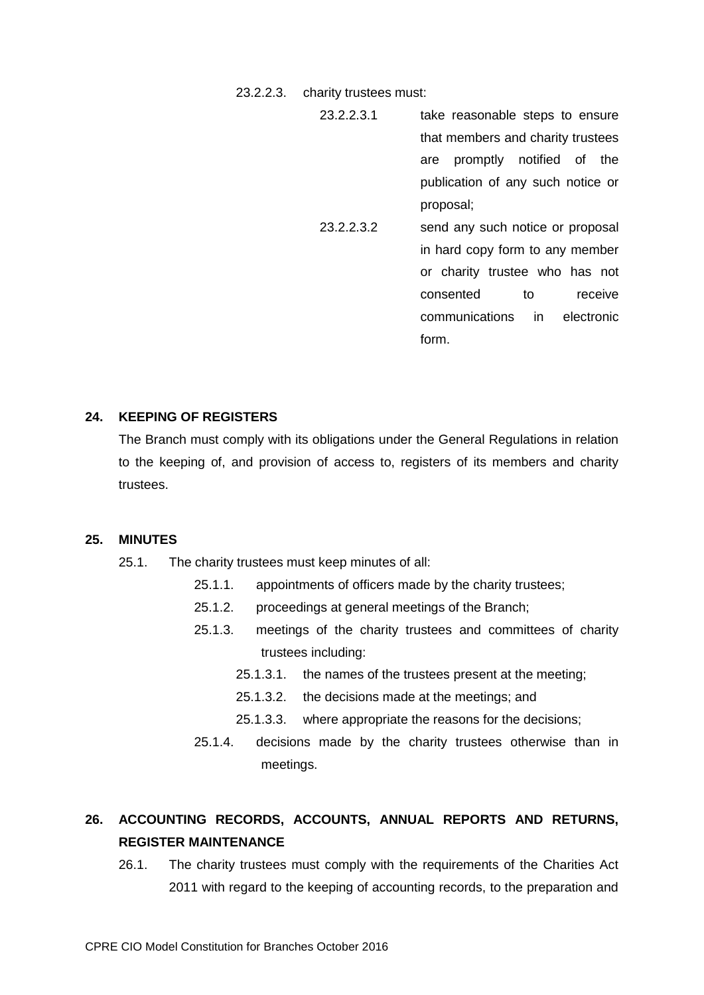23.2.2.3. charity trustees must:

23.2.2.3.1 take reasonable steps to ensure that members and charity trustees are promptly notified of the publication of any such notice or proposal; 23.2.2.3.2 send any such notice or proposal in hard copy form to any member or charity trustee who has not consented to receive communications in electronic form.

# **24. KEEPING OF REGISTERS**

The Branch must comply with its obligations under the General Regulations in relation to the keeping of, and provision of access to, registers of its members and charity trustees.

# **25. MINUTES**

- 25.1. The charity trustees must keep minutes of all:
	- 25.1.1. appointments of officers made by the charity trustees;
	- 25.1.2. proceedings at general meetings of the Branch;
	- 25.1.3. meetings of the charity trustees and committees of charity trustees including:
		- 25.1.3.1. the names of the trustees present at the meeting;
		- 25.1.3.2. the decisions made at the meetings; and
		- 25.1.3.3. where appropriate the reasons for the decisions;
	- 25.1.4. decisions made by the charity trustees otherwise than in meetings.

# **26. ACCOUNTING RECORDS, ACCOUNTS, ANNUAL REPORTS AND RETURNS, REGISTER MAINTENANCE**

26.1. The charity trustees must comply with the requirements of the Charities Act 2011 with regard to the keeping of accounting records, to the preparation and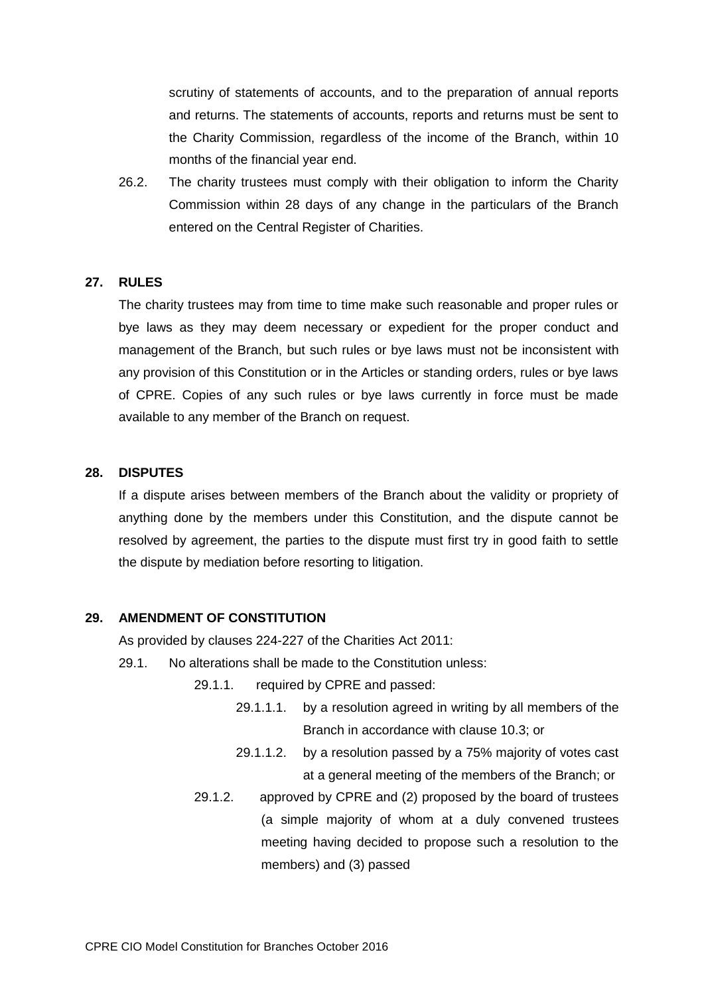scrutiny of statements of accounts, and to the preparation of annual reports and returns. The statements of accounts, reports and returns must be sent to the Charity Commission, regardless of the income of the Branch, within 10 months of the financial year end.

26.2. The charity trustees must comply with their obligation to inform the Charity Commission within 28 days of any change in the particulars of the Branch entered on the Central Register of Charities.

#### **27. RULES**

The charity trustees may from time to time make such reasonable and proper rules or bye laws as they may deem necessary or expedient for the proper conduct and management of the Branch, but such rules or bye laws must not be inconsistent with any provision of this Constitution or in the Articles or standing orders, rules or bye laws of CPRE. Copies of any such rules or bye laws currently in force must be made available to any member of the Branch on request.

# **28. DISPUTES**

If a dispute arises between members of the Branch about the validity or propriety of anything done by the members under this Constitution, and the dispute cannot be resolved by agreement, the parties to the dispute must first try in good faith to settle the dispute by mediation before resorting to litigation.

## **29. AMENDMENT OF CONSTITUTION**

As provided by clauses 224-227 of the Charities Act 2011:

- 29.1. No alterations shall be made to the Constitution unless:
	- 29.1.1. required by CPRE and passed:
		- 29.1.1.1. by a resolution agreed in writing by all members of the Branch in accordance with clause 10.3; or
		- 29.1.1.2. by a resolution passed by a 75% majority of votes cast at a general meeting of the members of the Branch; or
	- 29.1.2. approved by CPRE and (2) proposed by the board of trustees (a simple majority of whom at a duly convened trustees meeting having decided to propose such a resolution to the members) and (3) passed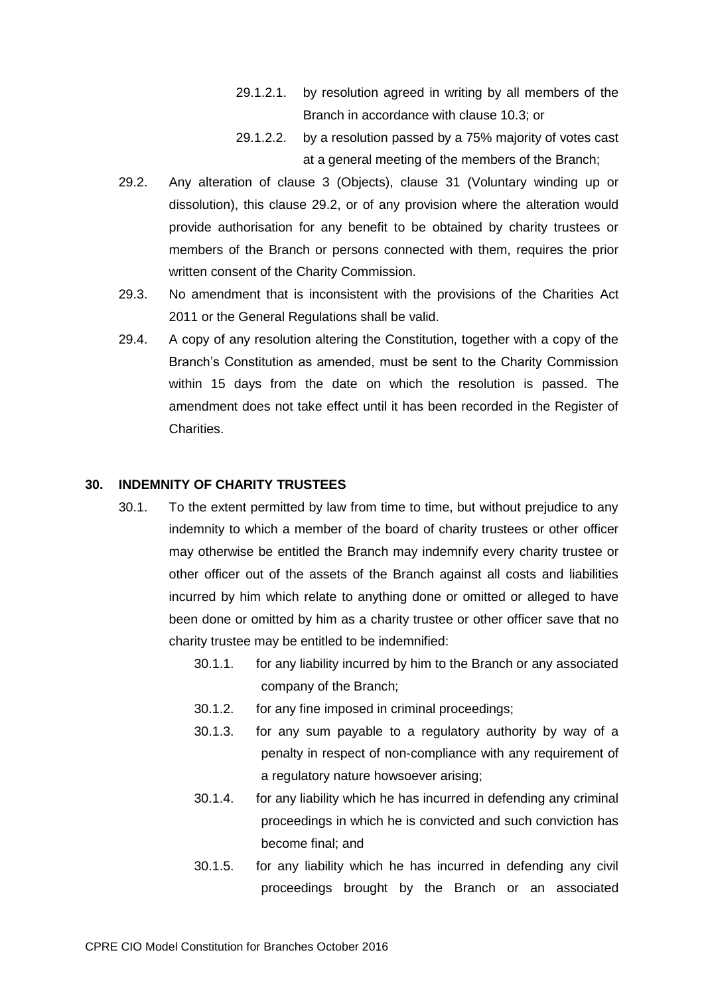- 29.1.2.1. by resolution agreed in writing by all members of the Branch in accordance with clause 10.3; or
- 29.1.2.2. by a resolution passed by a 75% majority of votes cast at a general meeting of the members of the Branch;
- <span id="page-28-0"></span>29.2. Any alteration of clause 3 (Objects), clause 31 (Voluntary winding up or dissolution), this clause [29.2,](#page-28-0) or of any provision where the alteration would provide authorisation for any benefit to be obtained by charity trustees or members of the Branch or persons connected with them, requires the prior written consent of the Charity Commission.
- 29.3. No amendment that is inconsistent with the provisions of the Charities Act 2011 or the General Regulations shall be valid.
- 29.4. A copy of any resolution altering the Constitution, together with a copy of the Branch's Constitution as amended, must be sent to the Charity Commission within 15 days from the date on which the resolution is passed. The amendment does not take effect until it has been recorded in the Register of Charities.

## **30. INDEMNITY OF CHARITY TRUSTEES**

- 30.1. To the extent permitted by law from time to time, but without prejudice to any indemnity to which a member of the board of charity trustees or other officer may otherwise be entitled the Branch may indemnify every charity trustee or other officer out of the assets of the Branch against all costs and liabilities incurred by him which relate to anything done or omitted or alleged to have been done or omitted by him as a charity trustee or other officer save that no charity trustee may be entitled to be indemnified:
	- 30.1.1. for any liability incurred by him to the Branch or any associated company of the Branch;
	- 30.1.2. for any fine imposed in criminal proceedings;
	- 30.1.3. for any sum payable to a regulatory authority by way of a penalty in respect of non-compliance with any requirement of a regulatory nature howsoever arising;
	- 30.1.4. for any liability which he has incurred in defending any criminal proceedings in which he is convicted and such conviction has become final; and
	- 30.1.5. for any liability which he has incurred in defending any civil proceedings brought by the Branch or an associated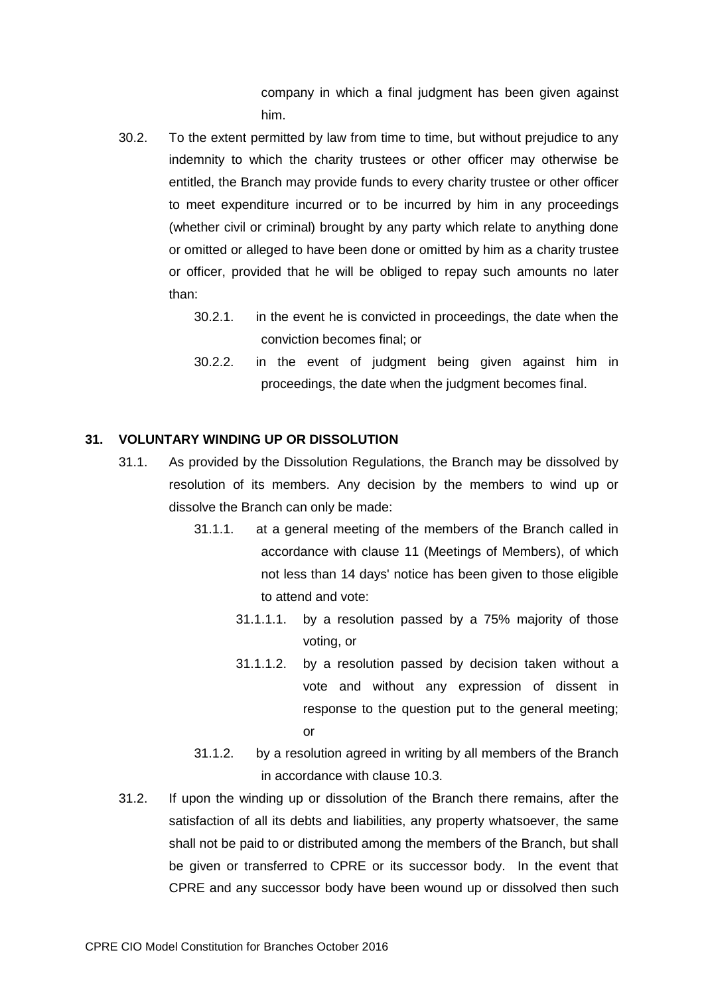company in which a final judgment has been given against him.

- 30.2. To the extent permitted by law from time to time, but without prejudice to any indemnity to which the charity trustees or other officer may otherwise be entitled, the Branch may provide funds to every charity trustee or other officer to meet expenditure incurred or to be incurred by him in any proceedings (whether civil or criminal) brought by any party which relate to anything done or omitted or alleged to have been done or omitted by him as a charity trustee or officer, provided that he will be obliged to repay such amounts no later than:
	- 30.2.1. in the event he is convicted in proceedings, the date when the conviction becomes final; or
	- 30.2.2. in the event of judgment being given against him in proceedings, the date when the judgment becomes final.

# <span id="page-29-0"></span>**31. VOLUNTARY WINDING UP OR DISSOLUTION**

- 31.1. As provided by the Dissolution Regulations, the Branch may be dissolved by resolution of its members. Any decision by the members to wind up or dissolve the Branch can only be made:
	- 31.1.1. at a general meeting of the members of the Branch called in accordance with clause 11 (Meetings of Members), of which not less than 14 days' notice has been given to those eligible to attend and vote:
		- 31.1.1.1. by a resolution passed by a 75% majority of those voting, or
		- 31.1.1.2. by a resolution passed by decision taken without a vote and without any expression of dissent in response to the question put to the general meeting; or
	- 31.1.2. by a resolution agreed in writing by all members of the Branch in accordance with clause 10.3.
- 31.2. If upon the winding up or dissolution of the Branch there remains, after the satisfaction of all its debts and liabilities, any property whatsoever, the same shall not be paid to or distributed among the members of the Branch, but shall be given or transferred to CPRE or its successor body. In the event that CPRE and any successor body have been wound up or dissolved then such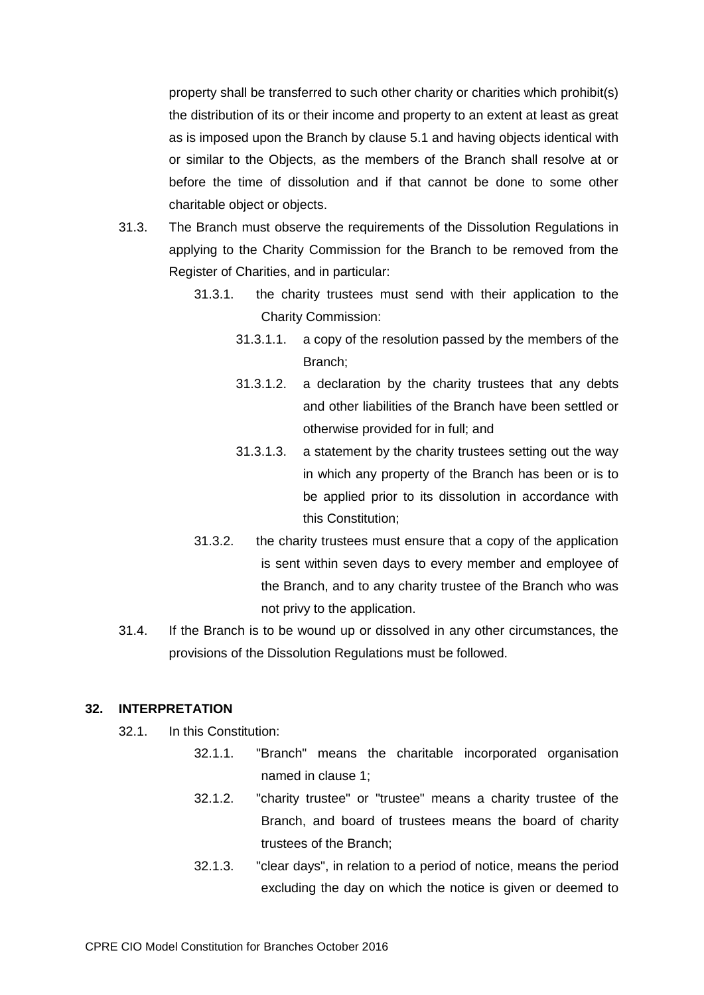property shall be transferred to such other charity or charities which prohibit(s) the distribution of its or their income and property to an extent at least as great as is imposed upon the Branch by clause 5.1 and having objects identical with or similar to the Objects, as the members of the Branch shall resolve at or before the time of dissolution and if that cannot be done to some other charitable object or objects.

- 31.3. The Branch must observe the requirements of the Dissolution Regulations in applying to the Charity Commission for the Branch to be removed from the Register of Charities, and in particular:
	- 31.3.1. the charity trustees must send with their application to the Charity Commission:
		- 31.3.1.1. a copy of the resolution passed by the members of the Branch;
		- 31.3.1.2. a declaration by the charity trustees that any debts and other liabilities of the Branch have been settled or otherwise provided for in full; and
		- 31.3.1.3. a statement by the charity trustees setting out the way in which any property of the Branch has been or is to be applied prior to its dissolution in accordance with this Constitution;
	- 31.3.2. the charity trustees must ensure that a copy of the application is sent within seven days to every member and employee of the Branch, and to any charity trustee of the Branch who was not privy to the application.
- 31.4. If the Branch is to be wound up or dissolved in any other circumstances, the provisions of the Dissolution Regulations must be followed.

## **32. INTERPRETATION**

- 32.1. In this Constitution:
	- 32.1.1. "Branch" means the charitable incorporated organisation named in clause 1;
	- 32.1.2. "charity trustee" or "trustee" means a charity trustee of the Branch, and board of trustees means the board of charity trustees of the Branch;
	- 32.1.3. "clear days", in relation to a period of notice, means the period excluding the day on which the notice is given or deemed to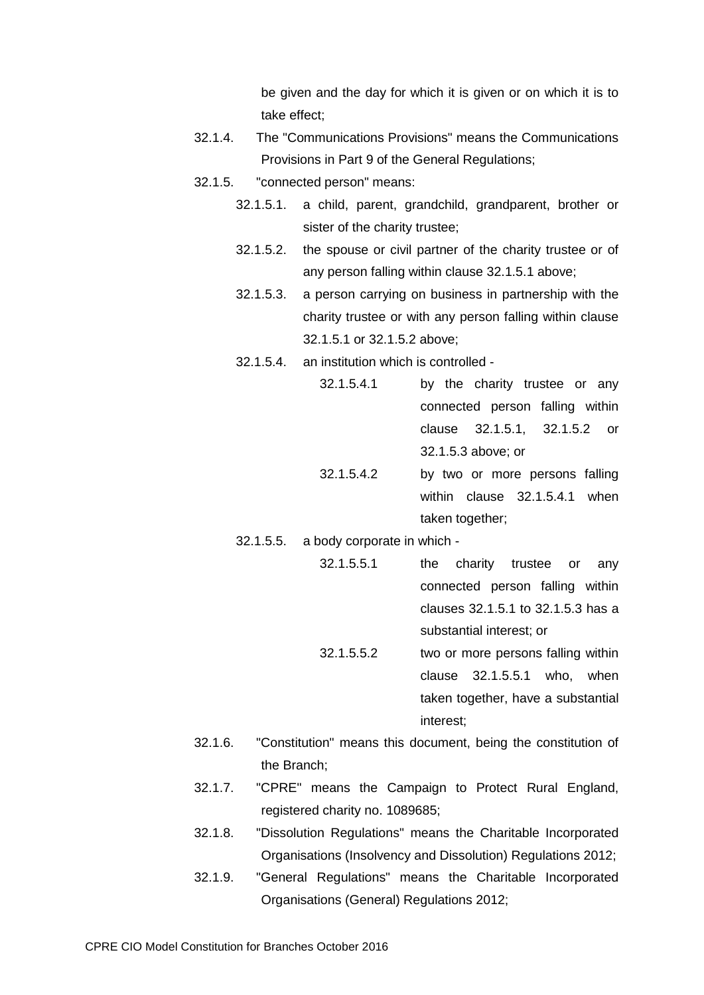be given and the day for which it is given or on which it is to take effect;

- 32.1.4. The "Communications Provisions" means the Communications Provisions in Part 9 of the General Regulations;
- <span id="page-31-3"></span><span id="page-31-2"></span><span id="page-31-1"></span><span id="page-31-0"></span>32.1.5. "connected person" means:
	- 32.1.5.1. a child, parent, grandchild, grandparent, brother or sister of the charity trustee;
	- 32.1.5.2. the spouse or civil partner of the charity trustee or of any person falling within clause 32.1.5.1 above;
	- 32.1.5.3. a person carrying on business in partnership with the charity trustee or with any person falling within clause [32.1.5.1](#page-31-0) or [32.1.5.2](#page-31-1) above;
	- 32.1.5.4. an institution which is controlled
		- 32.1.5.4.1 by the charity trustee or any connected person falling within clause [32.1.5.1,](#page-31-0) [32.1.5.2](#page-31-1) or [32.1.5.3](#page-31-2) above; or
		- 32.1.5.4.2 by two or more persons falling within clause [32.1.5.4.1](#page-31-3) when taken together;
	- 32.1.5.5. a body corporate in which
		- 32.1.5.5.1 the charity trustee or any connected person falling within clauses [32.1.5.1](#page-31-0) to [32.1.5.3](#page-31-2) has a substantial interest; or 32.1.5.5.2 two or more persons falling within
			- clause [32.1.5.5.1](#page-31-4) who, when taken together, have a substantial interest;
- <span id="page-31-4"></span>32.1.6. "Constitution" means this document, being the constitution of the Branch;
- 32.1.7. "CPRE" means the Campaign to Protect Rural England, registered charity no. 1089685;
- 32.1.8. "Dissolution Regulations" means the Charitable Incorporated Organisations (Insolvency and Dissolution) Regulations 2012;
- 32.1.9. "General Regulations" means the Charitable Incorporated Organisations (General) Regulations 2012;